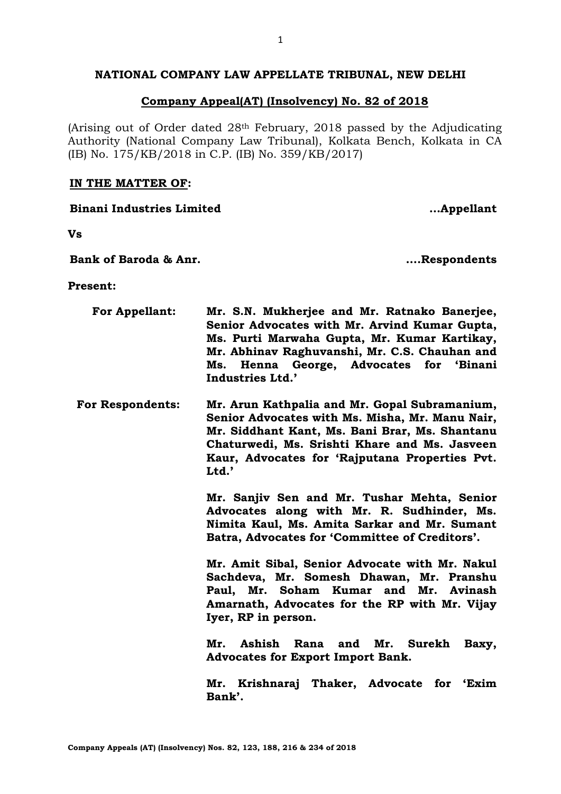# **NATIONAL COMPANY LAW APPELLATE TRIBUNAL, NEW DELHI**

# **Company Appeal(AT) (Insolvency) No. 82 of 2018**

(Arising out of Order dated 28th February, 2018 passed by the Adjudicating Authority (National Company Law Tribunal), Kolkata Bench, Kolkata in CA (IB) No. 175/KB/2018 in C.P. (IB) No. 359/KB/2017)

## **IN THE MATTER OF:**

**Vs**

**Bank of Baroda & Anr. ….Respondents**

**Binani Industries Limited …Appellant**

**Present:**

| <b>For Appellant:</b>   | Mr. S.N. Mukherjee and Mr. Ratnako Banerjee,<br>Senior Advocates with Mr. Arvind Kumar Gupta,<br>Ms. Purti Marwaha Gupta, Mr. Kumar Kartikay,<br>Mr. Abhinav Raghuvanshi, Mr. C.S. Chauhan and<br>Ms. Henna George, Advocates for 'Binani<br>Industries Ltd.'  |
|-------------------------|----------------------------------------------------------------------------------------------------------------------------------------------------------------------------------------------------------------------------------------------------------------|
| <b>For Respondents:</b> | Mr. Arun Kathpalia and Mr. Gopal Subramanium,<br>Senior Advocates with Ms. Misha, Mr. Manu Nair,<br>Mr. Siddhant Kant, Ms. Bani Brar, Ms. Shantanu<br>Chaturwedi, Ms. Srishti Khare and Ms. Jasveen<br>Kaur, Advocates for 'Rajputana Properties Pvt.<br>Ltd.' |
|                         | Mr. Sanjiv Sen and Mr. Tushar Mehta, Senior<br>Advocates along with Mr. R. Sudhinder, Ms.<br>Nimita Kaul, Ms. Amita Sarkar and Mr. Sumant<br>Batra, Advocates for 'Committee of Creditors'.                                                                    |
|                         | Mr. Amit Sibal, Senior Advocate with Mr. Nakul<br>Sachdeva, Mr. Somesh Dhawan, Mr. Pranshu<br>Paul, Mr. Soham Kumar and Mr. Avinash<br>Amarnath, Advocates for the RP with Mr. Vijay<br>Iyer, RP in person.                                                    |
|                         | Mr. Surekh<br>Ashish<br>Rana and<br>Mr.<br>Baxy,<br><b>Advocates for Export Import Bank.</b>                                                                                                                                                                   |
|                         | Mr. Krishnaraj Thaker, Advocate for 'Exim<br>Bank'.                                                                                                                                                                                                            |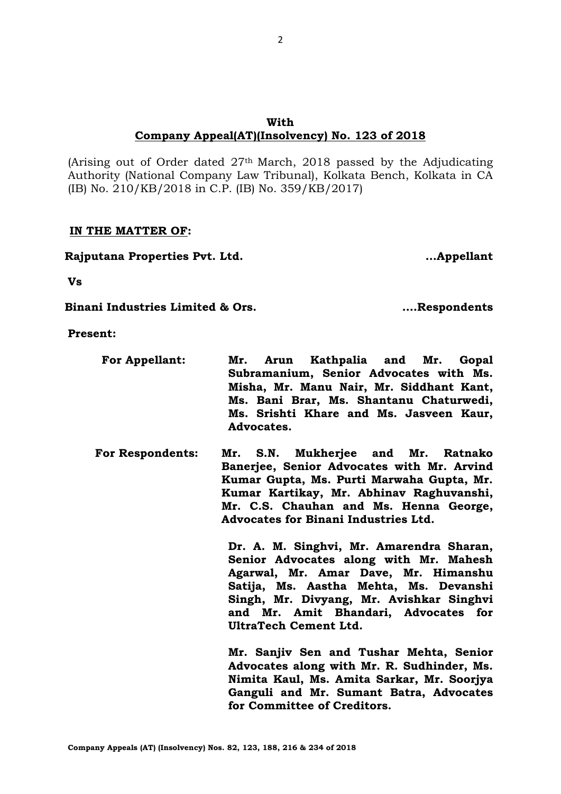# **With Company Appeal(AT)(Insolvency) No. 123 of 2018**

(Arising out of Order dated 27th March, 2018 passed by the Adjudicating Authority (National Company Law Tribunal), Kolkata Bench, Kolkata in CA (IB) No. 210/KB/2018 in C.P. (IB) No. 359/KB/2017)

# **IN THE MATTER OF:**

**Rajputana Properties Pvt. Ltd. …Appellant**

**Vs**

**Binani Industries Limited & Ors. ….Respondents**

**Present:**

- **For Appellant: Mr. Arun Kathpalia and Mr. Gopal Subramanium, Senior Advocates with Ms. Misha, Mr. Manu Nair, Mr. Siddhant Kant, Ms. Bani Brar, Ms. Shantanu Chaturwedi, Ms. Srishti Khare and Ms. Jasveen Kaur, Advocates.**
- **For Respondents: Mr. S.N. Mukherjee and Mr. Ratnako Banerjee, Senior Advocates with Mr. Arvind Kumar Gupta, Ms. Purti Marwaha Gupta, Mr. Kumar Kartikay, Mr. Abhinav Raghuvanshi, Mr. C.S. Chauhan and Ms. Henna George, Advocates for Binani Industries Ltd.**

**Dr. A. M. Singhvi, Mr. Amarendra Sharan, Senior Advocates along with Mr. Mahesh Agarwal, Mr. Amar Dave, Mr. Himanshu Satija, Ms. Aastha Mehta, Ms. Devanshi Singh, Mr. Divyang, Mr. Avishkar Singhvi and Mr. Amit Bhandari, Advocates for UltraTech Cement Ltd.**

**Mr. Sanjiv Sen and Tushar Mehta, Senior Advocates along with Mr. R. Sudhinder, Ms. Nimita Kaul, Ms. Amita Sarkar, Mr. Soorjya Ganguli and Mr. Sumant Batra, Advocates for Committee of Creditors.**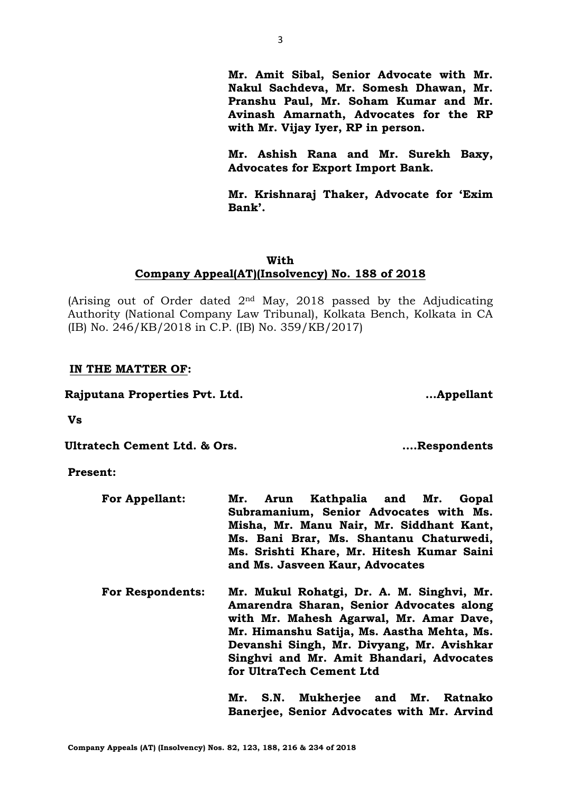**For Appellant: Mr. Arun Kathpalia and Mr. Gopal Subramanium, Senior Advocates with Ms.** 

**for UltraTech Cement Ltd**

**and Ms. Jasveen Kaur, Advocates**

| <b>For Respondents:</b> | Mr. Mukul Rohatgi, Dr. A. M. Singhvi, Mr. |  |
|-------------------------|-------------------------------------------|--|
|                         | Amarendra Sharan, Senior Advocates along  |  |
|                         | with Mr. Mahesh Agarwal, Mr. Amar Dave,   |  |

**Devanshi Singh, Mr. Divyang, Mr. Avishkar Singhvi and Mr. Amit Bhandari, Advocates** 

> **Mr. S.N. Mukherjee and Mr. Ratnako Banerjee, Senior Advocates with Mr. Arvind**

**Mr. Himanshu Satija, Ms. Aastha Mehta, Ms.** 

**Misha, Mr. Manu Nair, Mr. Siddhant Kant, Ms. Bani Brar, Ms. Shantanu Chaturwedi, Ms. Srishti Khare, Mr. Hitesh Kumar Saini**

**Company Appeals (AT) (Insolvency) Nos. 82, 123, 188, 216 & 234 of 2018**

**Vs**

**Ultratech Cement Ltd. & Ors. ….Respondents**

**Present:**

**IN THE MATTER OF:**

(Arising out of Order dated 2nd May, 2018 passed by the Adjudicating Authority (National Company Law Tribunal), Kolkata Bench, Kolkata in CA (IB) No. 246/KB/2018 in C.P. (IB) No. 359/KB/2017)

# **With Company Appeal(AT)(Insolvency) No. 188 of 2018**

**Nakul Sachdeva, Mr. Somesh Dhawan, Mr. Pranshu Paul, Mr. Soham Kumar and Mr. Avinash Amarnath, Advocates for the RP with Mr. Vijay Iyer, RP in person.**

**Mr. Amit Sibal, Senior Advocate with Mr.** 

**Mr. Ashish Rana and Mr. Surekh Baxy, Advocates for Export Import Bank.**

**Mr. Krishnaraj Thaker, Advocate for 'Exim Bank'.**

# **Rajputana Properties Pvt. Ltd. …Appellant**

3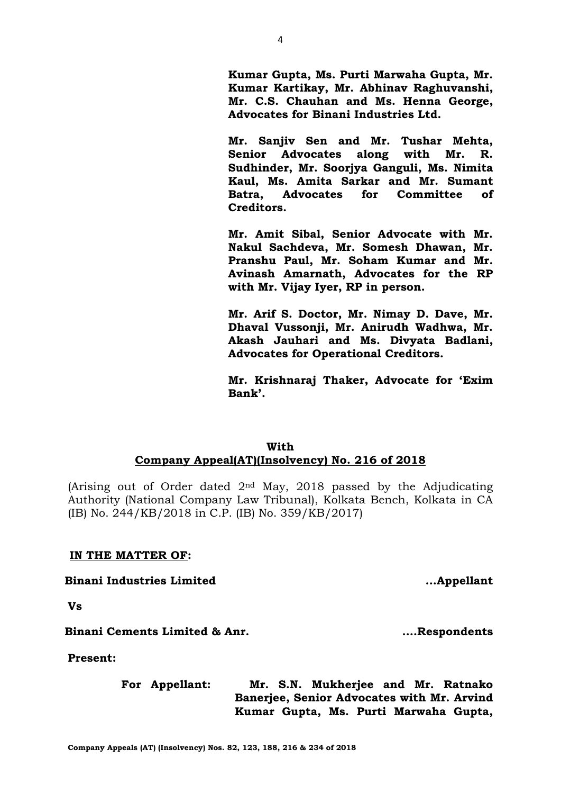**Kumar Gupta, Ms. Purti Marwaha Gupta, Mr. Kumar Kartikay, Mr. Abhinav Raghuvanshi, Mr. C.S. Chauhan and Ms. Henna George, Advocates for Binani Industries Ltd.**

**Mr. Sanjiv Sen and Mr. Tushar Mehta, Senior Advocates along with Mr. R. Sudhinder, Mr. Soorjya Ganguli, Ms. Nimita Kaul, Ms. Amita Sarkar and Mr. Sumant Batra, Advocates for Committee of Creditors.** 

**Mr. Amit Sibal, Senior Advocate with Mr. Nakul Sachdeva, Mr. Somesh Dhawan, Mr. Pranshu Paul, Mr. Soham Kumar and Mr. Avinash Amarnath, Advocates for the RP with Mr. Vijay Iyer, RP in person.**

**Mr. Arif S. Doctor, Mr. Nimay D. Dave, Mr. Dhaval Vussonji, Mr. Anirudh Wadhwa, Mr. Akash Jauhari and Ms. Divyata Badlani, Advocates for Operational Creditors.**

**Mr. Krishnaraj Thaker, Advocate for 'Exim Bank'.**

# **With Company Appeal(AT)(Insolvency) No. 216 of 2018**

(Arising out of Order dated 2nd May, 2018 passed by the Adjudicating Authority (National Company Law Tribunal), Kolkata Bench, Kolkata in CA (IB) No. 244/KB/2018 in C.P. (IB) No. 359/KB/2017)

# **IN THE MATTER OF:**

## **Binani Industries Limited …Appellant**

**Vs**

**Binani Cements Limited & Anr. ….Respondents**

**Present:**

**For Appellant: Mr. S.N. Mukherjee and Mr. Ratnako Banerjee, Senior Advocates with Mr. Arvind Kumar Gupta, Ms. Purti Marwaha Gupta,**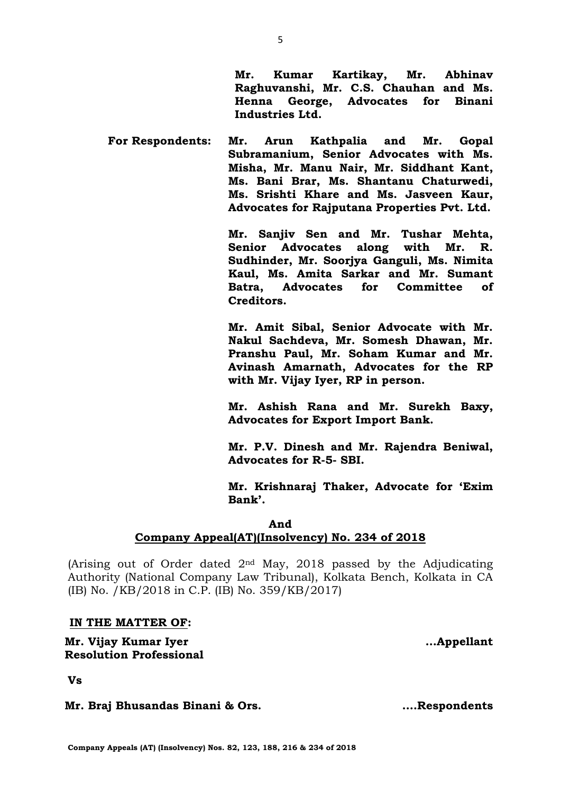**Mr. Braj Bhusandas Binani & Ors. ….Respondents**

**Mr. Kumar Kartikay, Mr. Abhinav Raghuvanshi, Mr. C.S. Chauhan and Ms. Henna George, Advocates for Binani Industries Ltd.**

**For Respondents: Mr. Arun Kathpalia and Mr. Gopal Subramanium, Senior Advocates with Ms. Misha, Mr. Manu Nair, Mr. Siddhant Kant, Ms. Bani Brar, Ms. Shantanu Chaturwedi, Ms. Srishti Khare and Ms. Jasveen Kaur, Advocates for Rajputana Properties Pvt. Ltd.**

> **Mr. Sanjiv Sen and Mr. Tushar Mehta, Senior Advocates along with Mr. R. Sudhinder, Mr. Soorjya Ganguli, Ms. Nimita Kaul, Ms. Amita Sarkar and Mr. Sumant Batra, Advocates for Committee of Creditors.**

> **Mr. Amit Sibal, Senior Advocate with Mr. Nakul Sachdeva, Mr. Somesh Dhawan, Mr. Pranshu Paul, Mr. Soham Kumar and Mr. Avinash Amarnath, Advocates for the RP with Mr. Vijay Iyer, RP in person.**

> **Mr. Ashish Rana and Mr. Surekh Baxy, Advocates for Export Import Bank.**

> **Mr. P.V. Dinesh and Mr. Rajendra Beniwal, Advocates for R-5- SBI.**

> **Mr. Krishnaraj Thaker, Advocate for 'Exim Bank'.**

# **And**

# **Company Appeal(AT)(Insolvency) No. 234 of 2018**

(Arising out of Order dated  $2<sup>nd</sup>$  May, 2018 passed by the Adjudicating Authority (National Company Law Tribunal), Kolkata Bench, Kolkata in CA (IB) No. /KB/2018 in C.P. (IB) No. 359/KB/2017)

# **IN THE MATTER OF:**

**Mr. Vijay Kumar Iyer Resolution Professional** 

**Vs**

**…Appellant**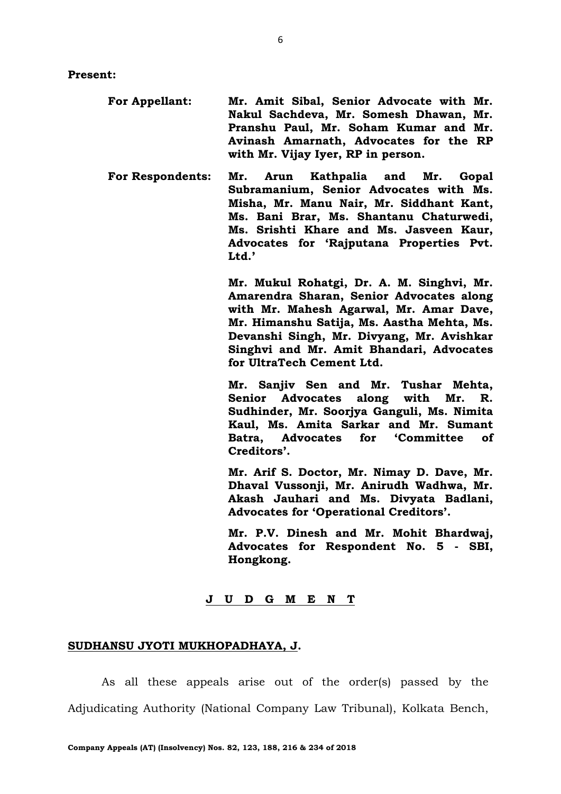- **For Appellant: Mr. Amit Sibal, Senior Advocate with Mr. Nakul Sachdeva, Mr. Somesh Dhawan, Mr. Pranshu Paul, Mr. Soham Kumar and Mr. Avinash Amarnath, Advocates for the RP with Mr. Vijay Iyer, RP in person.**
- **For Respondents: Mr. Arun Kathpalia and Mr. Gopal Subramanium, Senior Advocates with Ms. Misha, Mr. Manu Nair, Mr. Siddhant Kant, Ms. Bani Brar, Ms. Shantanu Chaturwedi, Ms. Srishti Khare and Ms. Jasveen Kaur, Advocates for 'Rajputana Properties Pvt. Ltd.'**

**Mr. Mukul Rohatgi, Dr. A. M. Singhvi, Mr. Amarendra Sharan, Senior Advocates along with Mr. Mahesh Agarwal, Mr. Amar Dave, Mr. Himanshu Satija, Ms. Aastha Mehta, Ms. Devanshi Singh, Mr. Divyang, Mr. Avishkar Singhvi and Mr. Amit Bhandari, Advocates for UltraTech Cement Ltd.**

**Mr. Sanjiv Sen and Mr. Tushar Mehta, Senior Advocates along with Mr. R. Sudhinder, Mr. Soorjya Ganguli, Ms. Nimita Kaul, Ms. Amita Sarkar and Mr. Sumant Batra, Advocates for 'Committee of Creditors'.** 

**Mr. Arif S. Doctor, Mr. Nimay D. Dave, Mr. Dhaval Vussonji, Mr. Anirudh Wadhwa, Mr. Akash Jauhari and Ms. Divyata Badlani, Advocates for 'Operational Creditors'.**

**Mr. P.V. Dinesh and Mr. Mohit Bhardwaj, Advocates for Respondent No. 5 - SBI, Hongkong.**

## **J U D G M E N T**

## **SUDHANSU JYOTI MUKHOPADHAYA, J.**

As all these appeals arise out of the order(s) passed by the Adjudicating Authority (National Company Law Tribunal), Kolkata Bench,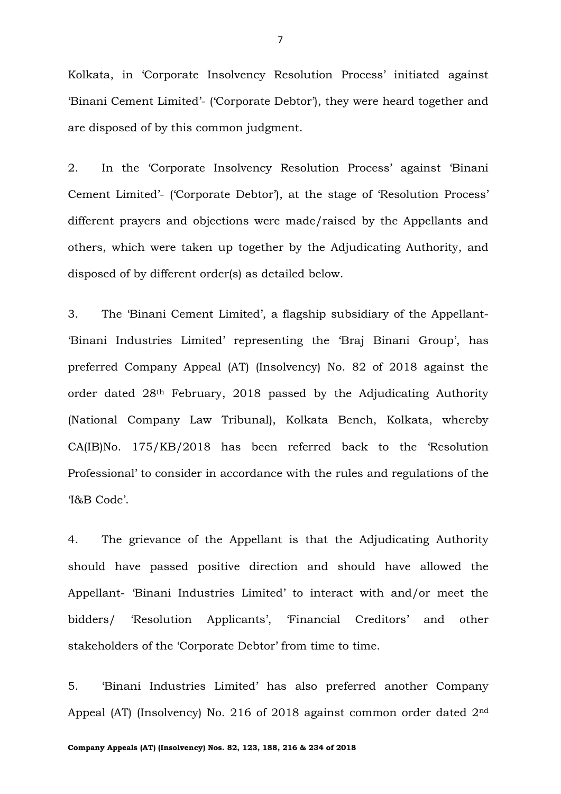Kolkata, in 'Corporate Insolvency Resolution Process' initiated against 'Binani Cement Limited'- ('Corporate Debtor'), they were heard together and are disposed of by this common judgment.

2. In the 'Corporate Insolvency Resolution Process' against 'Binani Cement Limited'- ('Corporate Debtor'), at the stage of 'Resolution Process' different prayers and objections were made/raised by the Appellants and others, which were taken up together by the Adjudicating Authority, and disposed of by different order(s) as detailed below.

3. The 'Binani Cement Limited', a flagship subsidiary of the Appellant- 'Binani Industries Limited' representing the 'Braj Binani Group', has preferred Company Appeal (AT) (Insolvency) No. 82 of 2018 against the order dated 28th February, 2018 passed by the Adjudicating Authority (National Company Law Tribunal), Kolkata Bench, Kolkata, whereby CA(IB)No. 175/KB/2018 has been referred back to the 'Resolution Professional' to consider in accordance with the rules and regulations of the 'I&B Code'.

4. The grievance of the Appellant is that the Adjudicating Authority should have passed positive direction and should have allowed the Appellant- 'Binani Industries Limited' to interact with and/or meet the bidders/ 'Resolution Applicants', 'Financial Creditors' and other stakeholders of the 'Corporate Debtor' from time to time.

5. 'Binani Industries Limited' has also preferred another Company Appeal (AT) (Insolvency) No. 216 of 2018 against common order dated 2nd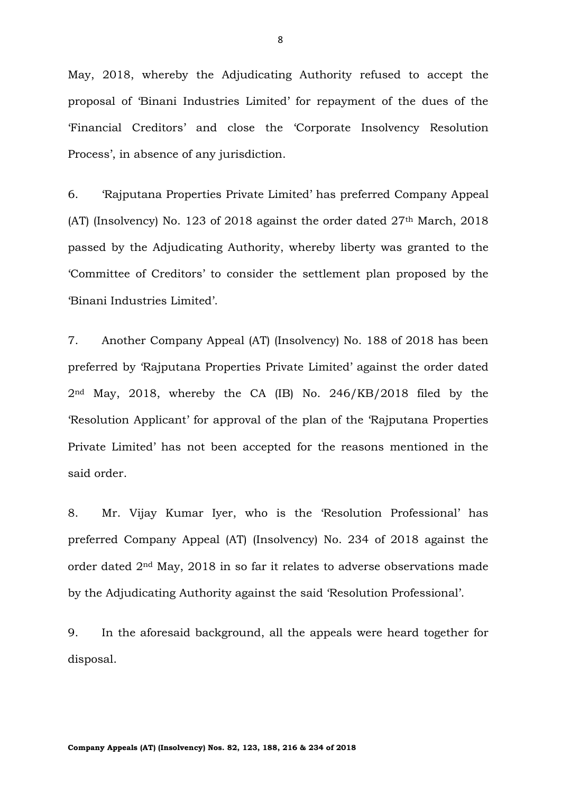May, 2018, whereby the Adjudicating Authority refused to accept the proposal of 'Binani Industries Limited' for repayment of the dues of the 'Financial Creditors' and close the 'Corporate Insolvency Resolution Process', in absence of any jurisdiction.

6. 'Rajputana Properties Private Limited' has preferred Company Appeal (AT) (Insolvency) No. 123 of 2018 against the order dated  $27<sup>th</sup>$  March, 2018 passed by the Adjudicating Authority, whereby liberty was granted to the 'Committee of Creditors' to consider the settlement plan proposed by the 'Binani Industries Limited'.

7. Another Company Appeal (AT) (Insolvency) No. 188 of 2018 has been preferred by 'Rajputana Properties Private Limited' against the order dated 2nd May, 2018, whereby the CA (IB) No. 246/KB/2018 filed by the 'Resolution Applicant' for approval of the plan of the 'Rajputana Properties Private Limited' has not been accepted for the reasons mentioned in the said order.

8. Mr. Vijay Kumar Iyer, who is the 'Resolution Professional' has preferred Company Appeal (AT) (Insolvency) No. 234 of 2018 against the order dated 2nd May, 2018 in so far it relates to adverse observations made by the Adjudicating Authority against the said 'Resolution Professional'.

9. In the aforesaid background, all the appeals were heard together for disposal.

8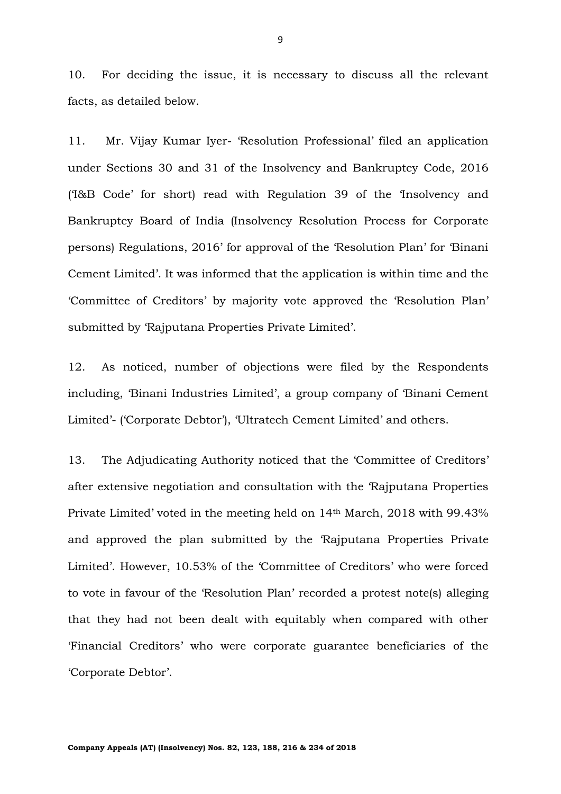10. For deciding the issue, it is necessary to discuss all the relevant facts, as detailed below.

11. Mr. Vijay Kumar Iyer- 'Resolution Professional' filed an application under Sections 30 and 31 of the Insolvency and Bankruptcy Code, 2016 ('I&B Code' for short) read with Regulation 39 of the 'Insolvency and Bankruptcy Board of India (Insolvency Resolution Process for Corporate persons) Regulations, 2016' for approval of the 'Resolution Plan' for 'Binani Cement Limited'. It was informed that the application is within time and the 'Committee of Creditors' by majority vote approved the 'Resolution Plan' submitted by 'Rajputana Properties Private Limited'.

12. As noticed, number of objections were filed by the Respondents including, 'Binani Industries Limited', a group company of 'Binani Cement Limited'- ('Corporate Debtor'), 'Ultratech Cement Limited' and others.

13. The Adjudicating Authority noticed that the 'Committee of Creditors' after extensive negotiation and consultation with the 'Rajputana Properties Private Limited' voted in the meeting held on 14th March, 2018 with 99.43% and approved the plan submitted by the 'Rajputana Properties Private Limited'. However, 10.53% of the 'Committee of Creditors' who were forced to vote in favour of the 'Resolution Plan' recorded a protest note(s) alleging that they had not been dealt with equitably when compared with other 'Financial Creditors' who were corporate guarantee beneficiaries of the 'Corporate Debtor'.

9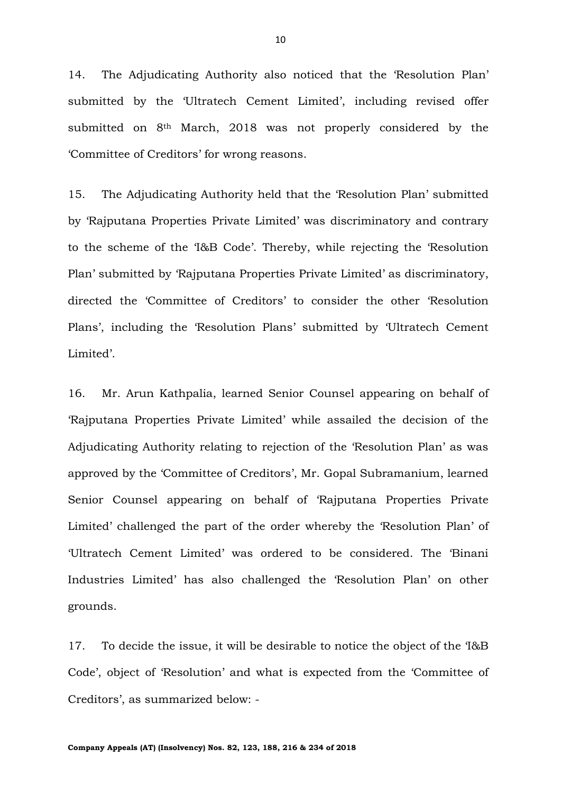14. The Adjudicating Authority also noticed that the 'Resolution Plan' submitted by the 'Ultratech Cement Limited', including revised offer submitted on 8<sup>th</sup> March, 2018 was not properly considered by the 'Committee of Creditors' for wrong reasons.

15. The Adjudicating Authority held that the 'Resolution Plan' submitted by 'Rajputana Properties Private Limited' was discriminatory and contrary to the scheme of the 'I&B Code'. Thereby, while rejecting the 'Resolution Plan' submitted by 'Rajputana Properties Private Limited' as discriminatory, directed the 'Committee of Creditors' to consider the other 'Resolution Plans', including the 'Resolution Plans' submitted by 'Ultratech Cement Limited'.

16. Mr. Arun Kathpalia, learned Senior Counsel appearing on behalf of 'Rajputana Properties Private Limited' while assailed the decision of the Adjudicating Authority relating to rejection of the 'Resolution Plan' as was approved by the 'Committee of Creditors', Mr. Gopal Subramanium, learned Senior Counsel appearing on behalf of 'Rajputana Properties Private Limited' challenged the part of the order whereby the 'Resolution Plan' of 'Ultratech Cement Limited' was ordered to be considered. The 'Binani Industries Limited' has also challenged the 'Resolution Plan' on other grounds.

17. To decide the issue, it will be desirable to notice the object of the 'I&B Code', object of 'Resolution' and what is expected from the 'Committee of Creditors', as summarized below: -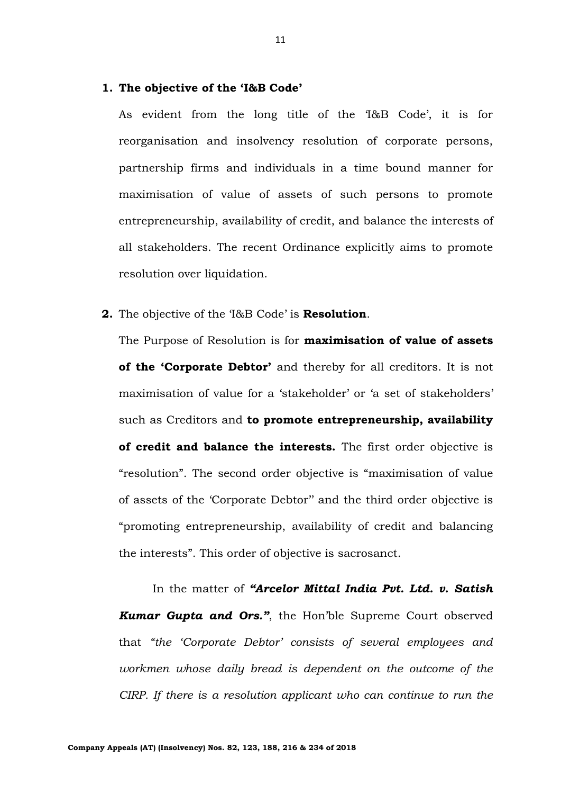# **1. The objective of the 'I&B Code'**

As evident from the long title of the 'I&B Code', it is for reorganisation and insolvency resolution of corporate persons, partnership firms and individuals in a time bound manner for maximisation of value of assets of such persons to promote entrepreneurship, availability of credit, and balance the interests of all stakeholders. The recent Ordinance explicitly aims to promote resolution over liquidation.

**2.** The objective of the 'I&B Code' is **Resolution**.

The Purpose of Resolution is for **maximisation of value of assets of the 'Corporate Debtor'** and thereby for all creditors. It is not maximisation of value for a 'stakeholder' or 'a set of stakeholders' such as Creditors and **to promote entrepreneurship, availability of credit and balance the interests.** The first order objective is "resolution". The second order objective is "maximisation of value of assets of the 'Corporate Debtor'' and the third order objective is "promoting entrepreneurship, availability of credit and balancing the interests". This order of objective is sacrosanct.

In the matter of *"Arcelor Mittal India Pvt. Ltd. v. Satish Kumar Gupta and Ors."*, the Hon'ble Supreme Court observed that *"the 'Corporate Debtor' consists of several employees and workmen whose daily bread is dependent on the outcome of the CIRP. If there is a resolution applicant who can continue to run the* 

11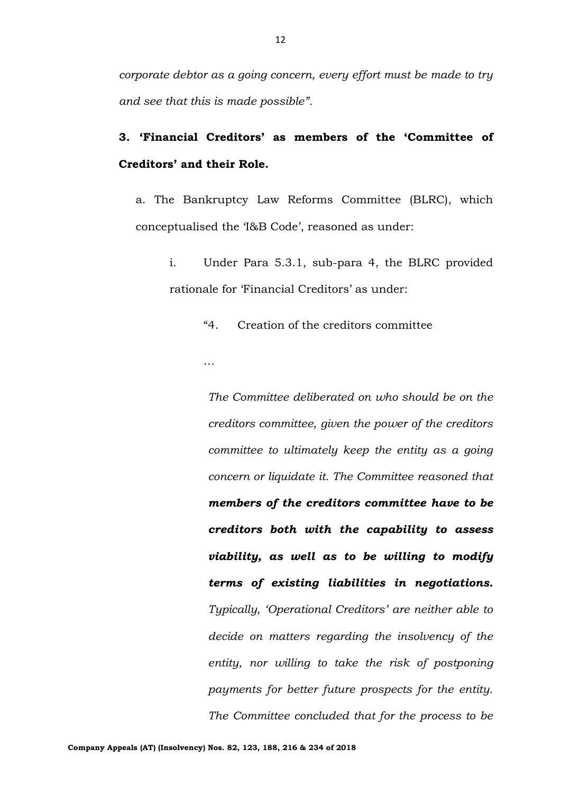# **3. 'Financial Creditors' as members of the 'Committee of Creditors' and their Role.**

a. The Bankruptcy Law Reforms Committee (BLRC), which conceptualised the 'I&B Code', reasoned as under:

i. Under Para 5.3.1, sub-para 4, the BLRC provided rationale for 'Financial Creditors' as under:

"4. Creation of the creditors committee

*The Committee deliberated on who should be on the creditors committee, given the power of the creditors committee to ultimately keep the entity as a going concern or liquidate it. The Committee reasoned that members of the creditors committee have to be creditors both with the capability to assess viability, as well as to be willing to modify terms of existing liabilities in negotiations. Typically, 'Operational Creditors' are neither able to decide on matters regarding the insolvency of the entity, nor willing to take the risk of postponing payments for better future prospects for the entity. The Committee concluded that for the process to be* 

…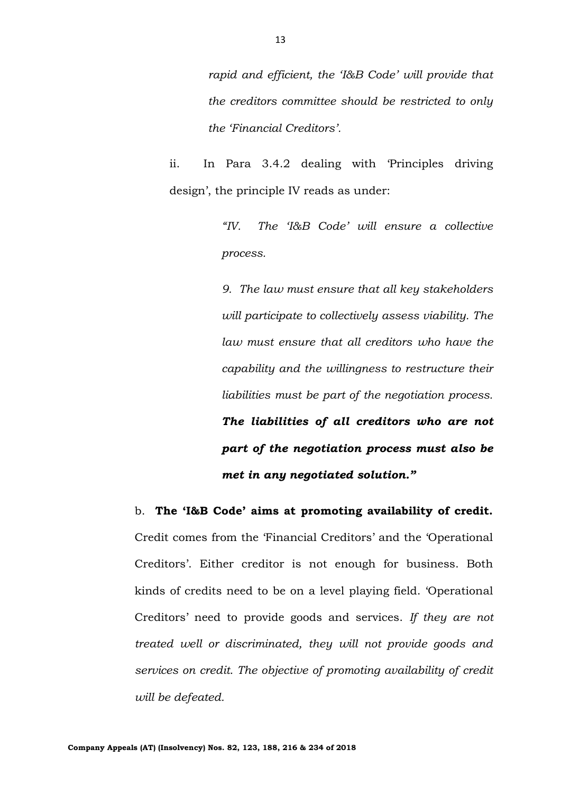*rapid and efficient, the 'I&B Code' will provide that the creditors committee should be restricted to only the 'Financial Creditors'.*

ii. In Para 3.4.2 dealing with 'Principles driving design', the principle IV reads as under:

> *"IV. The 'I&B Code' will ensure a collective process.*

> *9. The law must ensure that all key stakeholders will participate to collectively assess viability. The law must ensure that all creditors who have the capability and the willingness to restructure their liabilities must be part of the negotiation process. The liabilities of all creditors who are not part of the negotiation process must also be met in any negotiated solution."*

b. **The 'I&B Code' aims at promoting availability of credit.**  Credit comes from the 'Financial Creditors' and the 'Operational Creditors'. Either creditor is not enough for business. Both kinds of credits need to be on a level playing field. 'Operational Creditors' need to provide goods and services. *If they are not treated well or discriminated, they will not provide goods and services on credit. The objective of promoting availability of credit will be defeated.*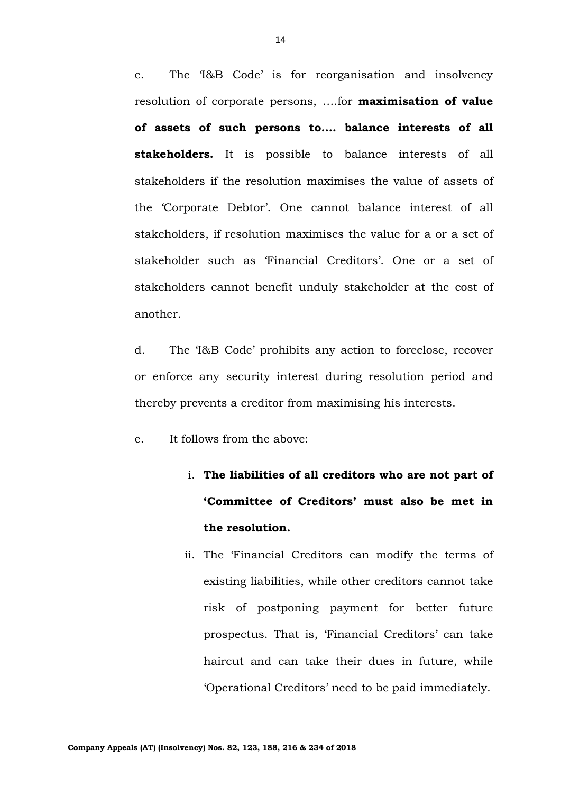c. The 'I&B Code' is for reorganisation and insolvency resolution of corporate persons, ….for **maximisation of value of assets of such persons to…. balance interests of all stakeholders.** It is possible to balance interests of all stakeholders if the resolution maximises the value of assets of the 'Corporate Debtor'. One cannot balance interest of all stakeholders, if resolution maximises the value for a or a set of stakeholder such as 'Financial Creditors'. One or a set of stakeholders cannot benefit unduly stakeholder at the cost of another.

d. The 'I&B Code' prohibits any action to foreclose, recover or enforce any security interest during resolution period and thereby prevents a creditor from maximising his interests.

e. It follows from the above:

- i. **The liabilities of all creditors who are not part of 'Committee of Creditors' must also be met in the resolution.**
- ii. The 'Financial Creditors can modify the terms of existing liabilities, while other creditors cannot take risk of postponing payment for better future prospectus. That is, 'Financial Creditors' can take haircut and can take their dues in future, while 'Operational Creditors' need to be paid immediately.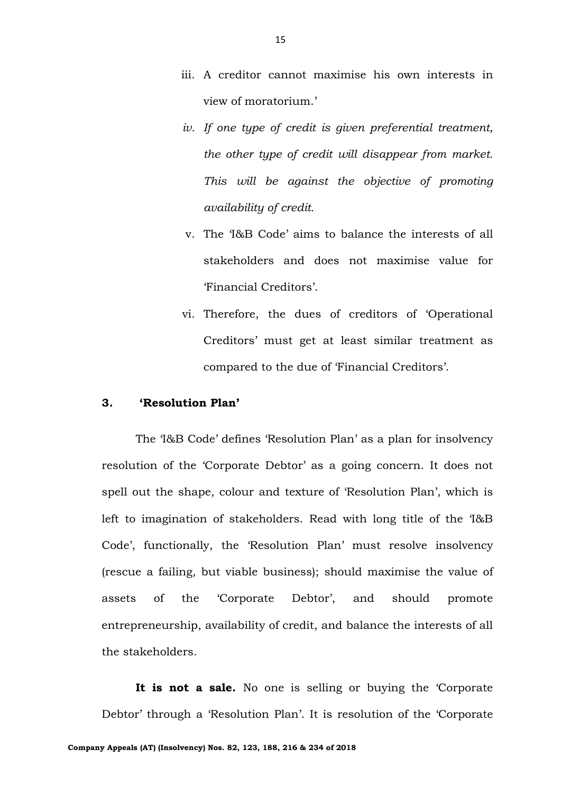- iii. A creditor cannot maximise his own interests in view of moratorium.'
- *iv. If one type of credit is given preferential treatment, the other type of credit will disappear from market. This will be against the objective of promoting availability of credit.*
- v. The 'I&B Code' aims to balance the interests of all stakeholders and does not maximise value for 'Financial Creditors'.
- vi. Therefore, the dues of creditors of 'Operational Creditors' must get at least similar treatment as compared to the due of 'Financial Creditors'.

# **3. 'Resolution Plan'**

The 'I&B Code' defines 'Resolution Plan' as a plan for insolvency resolution of the 'Corporate Debtor' as a going concern. It does not spell out the shape, colour and texture of 'Resolution Plan', which is left to imagination of stakeholders. Read with long title of the 'I&B Code', functionally, the 'Resolution Plan' must resolve insolvency (rescue a failing, but viable business); should maximise the value of assets of the 'Corporate Debtor', and should promote entrepreneurship, availability of credit, and balance the interests of all the stakeholders.

**It is not a sale.** No one is selling or buying the 'Corporate Debtor' through a 'Resolution Plan'. It is resolution of the 'Corporate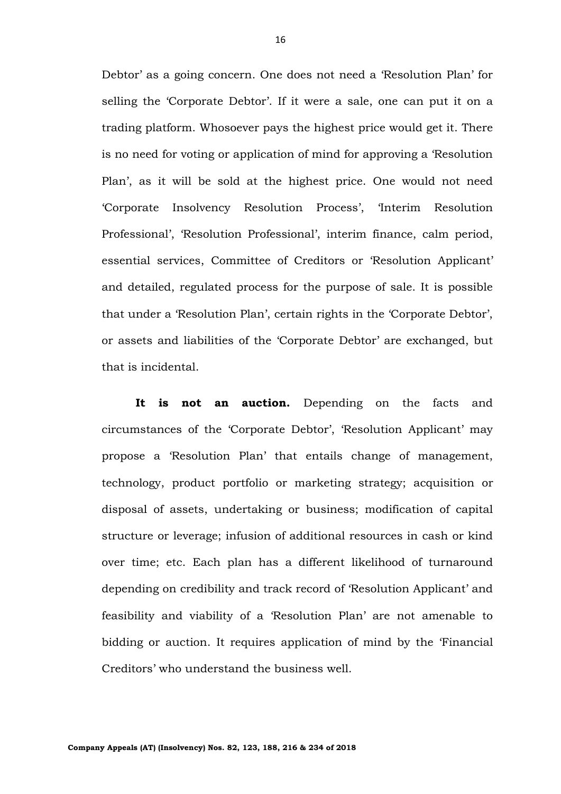Debtor' as a going concern. One does not need a 'Resolution Plan' for selling the 'Corporate Debtor'. If it were a sale, one can put it on a trading platform. Whosoever pays the highest price would get it. There is no need for voting or application of mind for approving a 'Resolution Plan', as it will be sold at the highest price. One would not need 'Corporate Insolvency Resolution Process', 'Interim Resolution Professional', 'Resolution Professional', interim finance, calm period, essential services, Committee of Creditors or 'Resolution Applicant' and detailed, regulated process for the purpose of sale. It is possible that under a 'Resolution Plan', certain rights in the 'Corporate Debtor', or assets and liabilities of the 'Corporate Debtor' are exchanged, but that is incidental.

It is not an auction. Depending on the facts and circumstances of the 'Corporate Debtor', 'Resolution Applicant' may propose a 'Resolution Plan' that entails change of management, technology, product portfolio or marketing strategy; acquisition or disposal of assets, undertaking or business; modification of capital structure or leverage; infusion of additional resources in cash or kind over time; etc. Each plan has a different likelihood of turnaround depending on credibility and track record of 'Resolution Applicant' and feasibility and viability of a 'Resolution Plan' are not amenable to bidding or auction. It requires application of mind by the 'Financial Creditors' who understand the business well.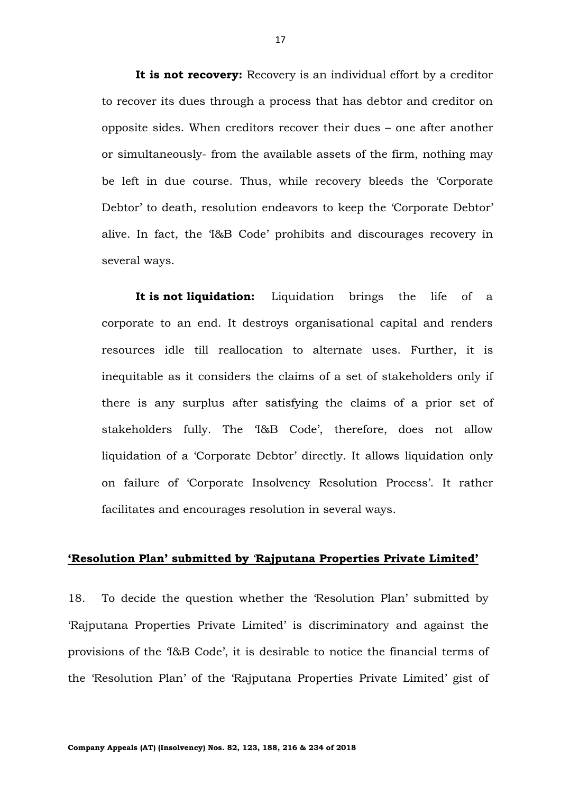**It is not recovery:** Recovery is an individual effort by a creditor to recover its dues through a process that has debtor and creditor on opposite sides. When creditors recover their dues – one after another or simultaneously- from the available assets of the firm, nothing may be left in due course. Thus, while recovery bleeds the 'Corporate Debtor' to death, resolution endeavors to keep the 'Corporate Debtor' alive. In fact, the 'I&B Code' prohibits and discourages recovery in several ways.

**It is not liquidation:** Liquidation brings the life of a corporate to an end. It destroys organisational capital and renders resources idle till reallocation to alternate uses. Further, it is inequitable as it considers the claims of a set of stakeholders only if there is any surplus after satisfying the claims of a prior set of stakeholders fully. The 'I&B Code', therefore, does not allow liquidation of a 'Corporate Debtor' directly. It allows liquidation only on failure of 'Corporate Insolvency Resolution Process'. It rather facilitates and encourages resolution in several ways.

## **'Resolution Plan' submitted by** '**Rajputana Properties Private Limited'**

18. To decide the question whether the 'Resolution Plan' submitted by 'Rajputana Properties Private Limited' is discriminatory and against the provisions of the 'I&B Code', it is desirable to notice the financial terms of the 'Resolution Plan' of the 'Rajputana Properties Private Limited' gist of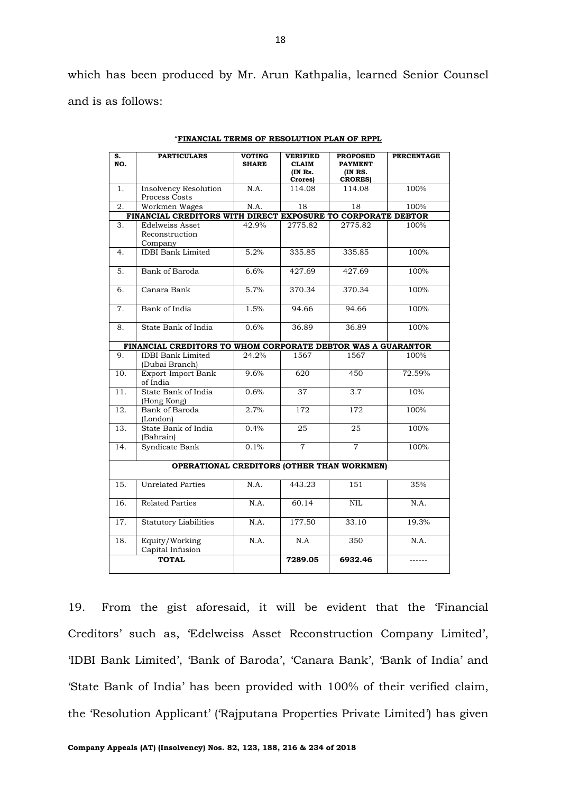which has been produced by Mr. Arun Kathpalia, learned Senior Counsel and is as follows:

| s.<br>NO.                                         | <b>PARTICULARS</b>                                           | <b>VOTING</b><br><b>SHARE</b> | <b>VERIFIED</b><br><b>CLAIM</b><br>(IN Rs. | <b>PROPOSED</b><br><b>PAYMENT</b><br>(IN RS. | <b>PERCENTAGE</b> |
|---------------------------------------------------|--------------------------------------------------------------|-------------------------------|--------------------------------------------|----------------------------------------------|-------------------|
| 1.                                                | <b>Insolvency Resolution</b>                                 | N.A.                          | Crores)<br>114.08                          | <b>CRORES</b> )<br>114.08                    | 100%              |
|                                                   | Process Costs                                                |                               |                                            |                                              |                   |
| 2.                                                | Workmen Wages                                                | N.A.                          | 18                                         | 18                                           | 100%              |
|                                                   | FINANCIAL CREDITORS WITH DIRECT EXPOSURE TO CORPORATE DEBTOR |                               |                                            |                                              |                   |
| 3.                                                | Edelweiss Asset<br>Reconstruction<br>Company                 | 42.9%                         | 2775.82                                    | 2775.82                                      | 100%              |
| 4.                                                | <b>IDBI</b> Bank Limited                                     | 5.2%                          | 335.85                                     | 335.85                                       | 100%              |
| 5.                                                | Bank of Baroda                                               | 6.6%                          | 427.69                                     | 427.69                                       | 100%              |
| 6.                                                | Canara Bank                                                  | 5.7%                          | 370.34                                     | 370.34                                       | 100%              |
| 7.                                                | Bank of India                                                | 1.5%                          | 94.66                                      | 94.66                                        | 100%              |
| 8.                                                | State Bank of India                                          | 0.6%                          | 36.89                                      | 36.89                                        | 100%              |
|                                                   | FINANCIAL CREDITORS TO WHOM CORPORATE DEBTOR WAS A GUARANTOR |                               |                                            |                                              |                   |
| 9.                                                | <b>IDBI</b> Bank Limited<br>(Dubai Branch)                   | 24.2%                         | 1567                                       | 1567                                         | 100%              |
| 10.                                               | Export-Import Bank<br>of India                               | 9.6%                          | 620                                        | 450                                          | 72.59%            |
| 11.                                               | State Bank of India<br>(Hong Kong)                           | 0.6%                          | 37                                         | 3.7                                          | 10%               |
| $\overline{12}$ .                                 | Bank of Baroda<br>(London)                                   | 2.7%                          | $\overline{172}$                           | $\overline{172}$                             | 100%              |
| 13.                                               | State Bank of India<br>(Bahrain)                             | 0.4%                          | 25                                         | 25                                           | 100%              |
| 14.                                               | Syndicate Bank                                               | 0.1%                          | $\overline{7}$                             | $\overline{7}$                               | 100%              |
| <b>OPERATIONAL CREDITORS (OTHER THAN WORKMEN)</b> |                                                              |                               |                                            |                                              |                   |
| 15.                                               | <b>Unrelated Parties</b>                                     | N.A.                          | 443.23                                     | 151                                          | 35%               |
| 16.                                               | <b>Related Parties</b>                                       | N.A.                          | 60.14                                      | NIL                                          | N.A.              |
| 17.                                               | <b>Statutory Liabilities</b>                                 | N.A.                          | 177.50                                     | 33.10                                        | 19.3%             |
| 18.                                               | Equity/Working<br>Capital Infusion                           | N.A.                          | N.A                                        | 350                                          | N.A.              |
|                                                   | <b>TOTAL</b>                                                 |                               | 7289.05                                    | 6932.46                                      |                   |

"**FINANCIAL TERMS OF RESOLUTION PLAN OF RPPL**

19. From the gist aforesaid, it will be evident that the 'Financial Creditors' such as, 'Edelweiss Asset Reconstruction Company Limited', 'IDBI Bank Limited', 'Bank of Baroda', 'Canara Bank', 'Bank of India' and 'State Bank of India' has been provided with 100% of their verified claim, the 'Resolution Applicant' ('Rajputana Properties Private Limited') has given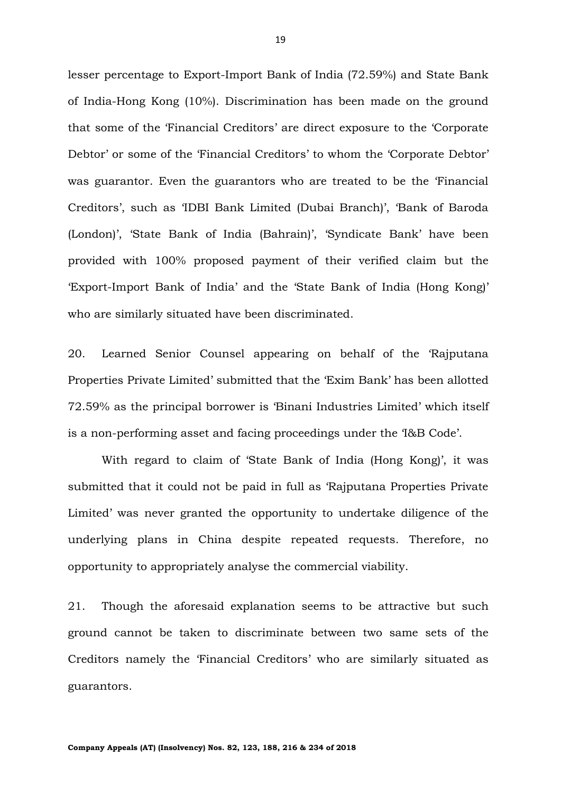lesser percentage to Export-Import Bank of India (72.59%) and State Bank of India-Hong Kong (10%). Discrimination has been made on the ground that some of the 'Financial Creditors' are direct exposure to the 'Corporate Debtor' or some of the 'Financial Creditors' to whom the 'Corporate Debtor' was guarantor. Even the guarantors who are treated to be the 'Financial Creditors', such as 'IDBI Bank Limited (Dubai Branch)', 'Bank of Baroda (London)', 'State Bank of India (Bahrain)', 'Syndicate Bank' have been provided with 100% proposed payment of their verified claim but the 'Export-Import Bank of India' and the 'State Bank of India (Hong Kong)' who are similarly situated have been discriminated.

20. Learned Senior Counsel appearing on behalf of the 'Rajputana Properties Private Limited' submitted that the 'Exim Bank' has been allotted 72.59% as the principal borrower is 'Binani Industries Limited' which itself is a non-performing asset and facing proceedings under the 'I&B Code'.

With regard to claim of 'State Bank of India (Hong Kong)', it was submitted that it could not be paid in full as 'Rajputana Properties Private Limited' was never granted the opportunity to undertake diligence of the underlying plans in China despite repeated requests. Therefore, no opportunity to appropriately analyse the commercial viability.

21. Though the aforesaid explanation seems to be attractive but such ground cannot be taken to discriminate between two same sets of the Creditors namely the 'Financial Creditors' who are similarly situated as guarantors.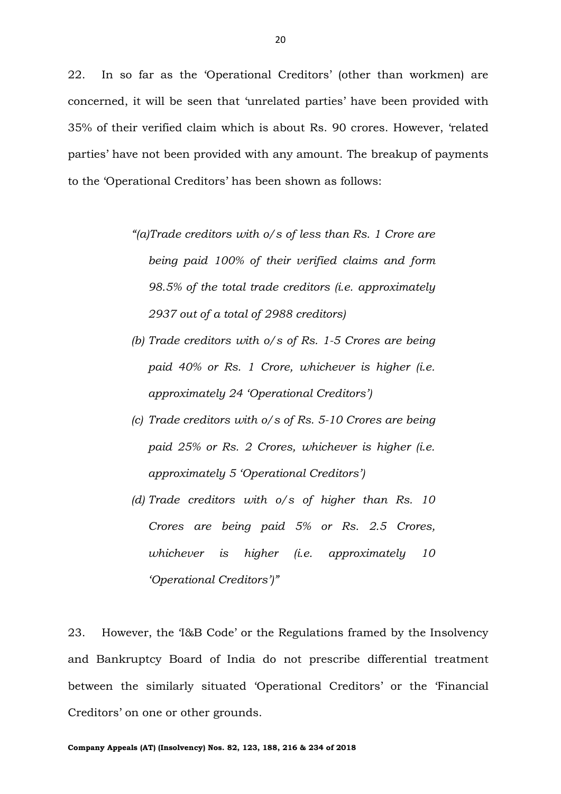22. In so far as the 'Operational Creditors' (other than workmen) are concerned, it will be seen that 'unrelated parties' have been provided with 35% of their verified claim which is about Rs. 90 crores. However, 'related parties' have not been provided with any amount. The breakup of payments to the 'Operational Creditors' has been shown as follows:

- *"(a)Trade creditors with o/s of less than Rs. 1 Crore are being paid 100% of their verified claims and form 98.5% of the total trade creditors (i.e. approximately 2937 out of a total of 2988 creditors)*
- *(b) Trade creditors with o/s of Rs. 1-5 Crores are being paid 40% or Rs. 1 Crore, whichever is higher (i.e. approximately 24 'Operational Creditors')*
- *(c) Trade creditors with o/s of Rs. 5-10 Crores are being paid 25% or Rs. 2 Crores, whichever is higher (i.e. approximately 5 'Operational Creditors')*
- *(d) Trade creditors with o/s of higher than Rs. 10 Crores are being paid 5% or Rs. 2.5 Crores, whichever is higher (i.e. approximately 10 'Operational Creditors')"*

23. However, the 'I&B Code' or the Regulations framed by the Insolvency and Bankruptcy Board of India do not prescribe differential treatment between the similarly situated 'Operational Creditors' or the 'Financial Creditors' on one or other grounds.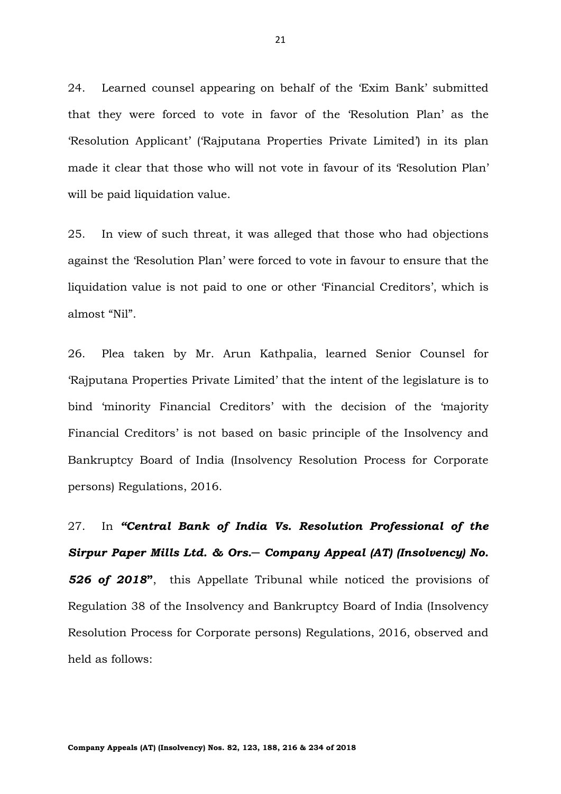24. Learned counsel appearing on behalf of the 'Exim Bank' submitted that they were forced to vote in favor of the 'Resolution Plan' as the 'Resolution Applicant' ('Rajputana Properties Private Limited') in its plan made it clear that those who will not vote in favour of its 'Resolution Plan' will be paid liquidation value.

25. In view of such threat, it was alleged that those who had objections against the 'Resolution Plan' were forced to vote in favour to ensure that the liquidation value is not paid to one or other 'Financial Creditors', which is almost "Nil".

26. Plea taken by Mr. Arun Kathpalia, learned Senior Counsel for 'Rajputana Properties Private Limited' that the intent of the legislature is to bind 'minority Financial Creditors' with the decision of the 'majority Financial Creditors' is not based on basic principle of the Insolvency and Bankruptcy Board of India (Insolvency Resolution Process for Corporate persons) Regulations, 2016.

27. In *"Central Bank of India Vs. Resolution Professional of the Sirpur Paper Mills Ltd. & Ors.─ Company Appeal (AT) (Insolvency) No. 526 of 2018***"**, this Appellate Tribunal while noticed the provisions of Regulation 38 of the Insolvency and Bankruptcy Board of India (Insolvency Resolution Process for Corporate persons) Regulations, 2016, observed and held as follows: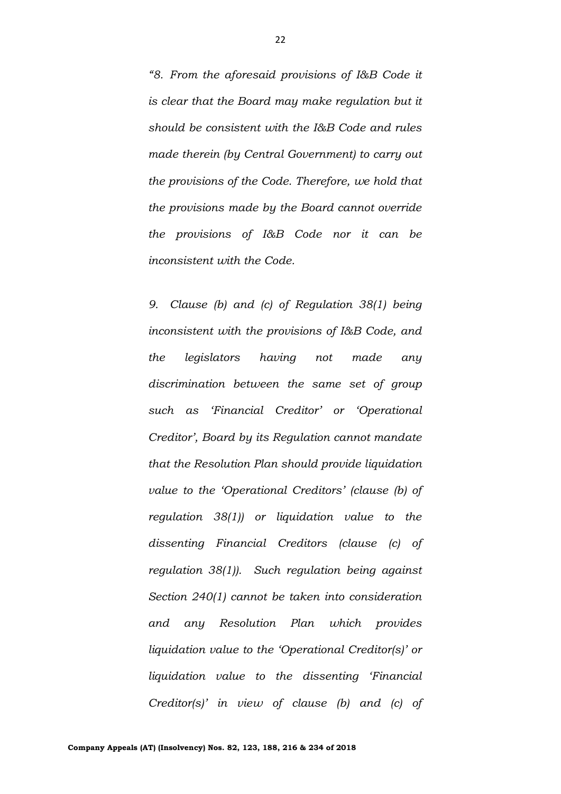*"8. From the aforesaid provisions of I&B Code it is clear that the Board may make regulation but it should be consistent with the I&B Code and rules made therein (by Central Government) to carry out the provisions of the Code. Therefore, we hold that the provisions made by the Board cannot override the provisions of I&B Code nor it can be inconsistent with the Code.*

*9. Clause (b) and (c) of Regulation 38(1) being inconsistent with the provisions of I&B Code, and the legislators having not made any discrimination between the same set of group such as 'Financial Creditor' or 'Operational Creditor', Board by its Regulation cannot mandate that the Resolution Plan should provide liquidation value to the 'Operational Creditors' (clause (b) of regulation 38(1)) or liquidation value to the dissenting Financial Creditors (clause (c) of regulation 38(1)). Such regulation being against Section 240(1) cannot be taken into consideration and any Resolution Plan which provides liquidation value to the 'Operational Creditor(s)' or liquidation value to the dissenting 'Financial Creditor(s)' in view of clause (b) and (c) of*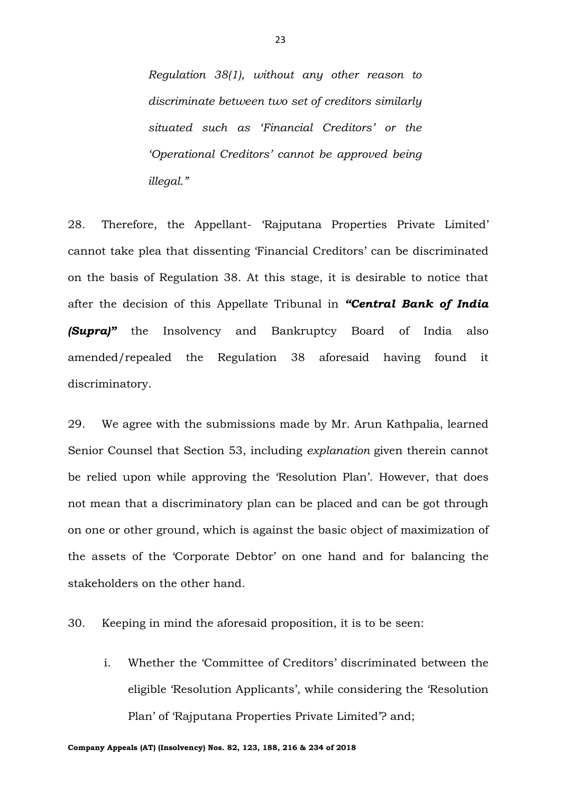*Regulation 38(1), without any other reason to discriminate between two set of creditors similarly situated such as 'Financial Creditors' or the 'Operational Creditors' cannot be approved being illegal."*

28. Therefore, the Appellant- 'Rajputana Properties Private Limited' cannot take plea that dissenting 'Financial Creditors' can be discriminated on the basis of Regulation 38. At this stage, it is desirable to notice that after the decision of this Appellate Tribunal in *"Central Bank of India (Supra)"* the Insolvency and Bankruptcy Board of India also amended/repealed the Regulation 38 aforesaid having found it discriminatory.

29. We agree with the submissions made by Mr. Arun Kathpalia, learned Senior Counsel that Section 53, including *explanation* given therein cannot be relied upon while approving the 'Resolution Plan'. However, that does not mean that a discriminatory plan can be placed and can be got through on one or other ground, which is against the basic object of maximization of the assets of the 'Corporate Debtor' on one hand and for balancing the stakeholders on the other hand.

30. Keeping in mind the aforesaid proposition, it is to be seen:

i. Whether the 'Committee of Creditors' discriminated between the eligible 'Resolution Applicants', while considering the 'Resolution Plan' of 'Rajputana Properties Private Limited'? and;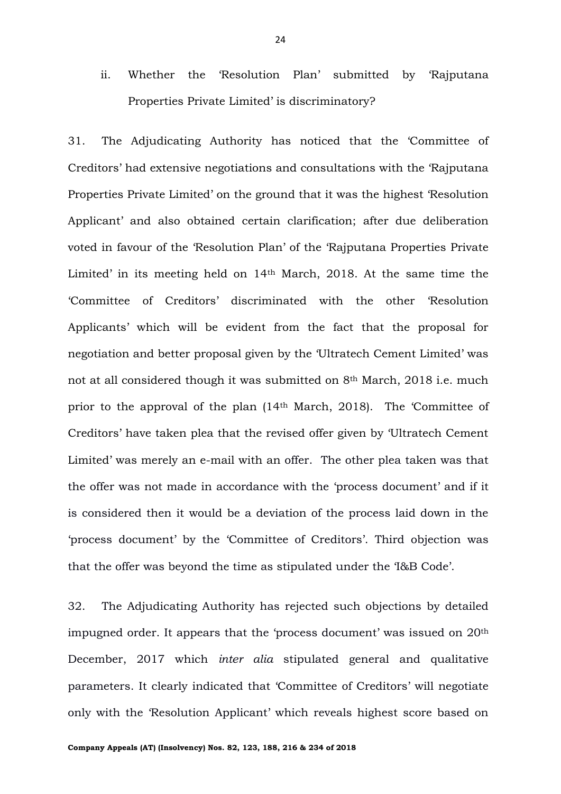ii. Whether the 'Resolution Plan' submitted by 'Rajputana Properties Private Limited' is discriminatory?

31. The Adjudicating Authority has noticed that the 'Committee of Creditors' had extensive negotiations and consultations with the 'Rajputana Properties Private Limited' on the ground that it was the highest 'Resolution Applicant' and also obtained certain clarification; after due deliberation voted in favour of the 'Resolution Plan' of the 'Rajputana Properties Private Limited' in its meeting held on 14th March, 2018. At the same time the 'Committee of Creditors' discriminated with the other 'Resolution Applicants' which will be evident from the fact that the proposal for negotiation and better proposal given by the 'Ultratech Cement Limited' was not at all considered though it was submitted on 8th March, 2018 i.e. much prior to the approval of the plan (14th March, 2018). The 'Committee of Creditors' have taken plea that the revised offer given by 'Ultratech Cement Limited' was merely an e-mail with an offer. The other plea taken was that the offer was not made in accordance with the 'process document' and if it is considered then it would be a deviation of the process laid down in the 'process document' by the 'Committee of Creditors'. Third objection was that the offer was beyond the time as stipulated under the 'I&B Code'.

32. The Adjudicating Authority has rejected such objections by detailed impugned order. It appears that the 'process document' was issued on 20th December, 2017 which *inter alia* stipulated general and qualitative parameters. It clearly indicated that 'Committee of Creditors' will negotiate only with the 'Resolution Applicant' which reveals highest score based on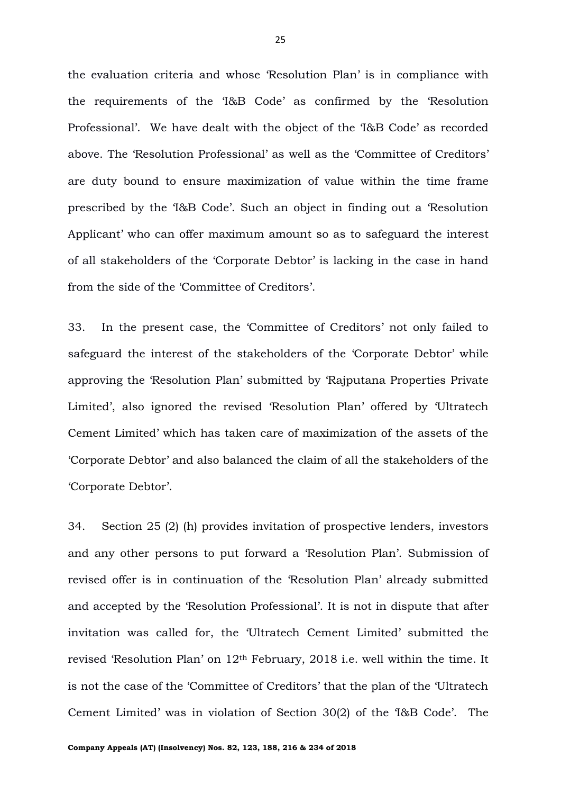the evaluation criteria and whose 'Resolution Plan' is in compliance with the requirements of the 'I&B Code' as confirmed by the 'Resolution Professional'. We have dealt with the object of the 'I&B Code' as recorded above. The 'Resolution Professional' as well as the 'Committee of Creditors' are duty bound to ensure maximization of value within the time frame prescribed by the 'I&B Code'. Such an object in finding out a 'Resolution Applicant' who can offer maximum amount so as to safeguard the interest of all stakeholders of the 'Corporate Debtor' is lacking in the case in hand from the side of the 'Committee of Creditors'.

33. In the present case, the 'Committee of Creditors' not only failed to safeguard the interest of the stakeholders of the 'Corporate Debtor' while approving the 'Resolution Plan' submitted by 'Rajputana Properties Private Limited', also ignored the revised 'Resolution Plan' offered by 'Ultratech Cement Limited' which has taken care of maximization of the assets of the 'Corporate Debtor' and also balanced the claim of all the stakeholders of the 'Corporate Debtor'.

34. Section 25 (2) (h) provides invitation of prospective lenders, investors and any other persons to put forward a 'Resolution Plan'. Submission of revised offer is in continuation of the 'Resolution Plan' already submitted and accepted by the 'Resolution Professional'. It is not in dispute that after invitation was called for, the 'Ultratech Cement Limited' submitted the revised 'Resolution Plan' on 12th February, 2018 i.e. well within the time. It is not the case of the 'Committee of Creditors' that the plan of the 'Ultratech Cement Limited' was in violation of Section 30(2) of the 'I&B Code'. The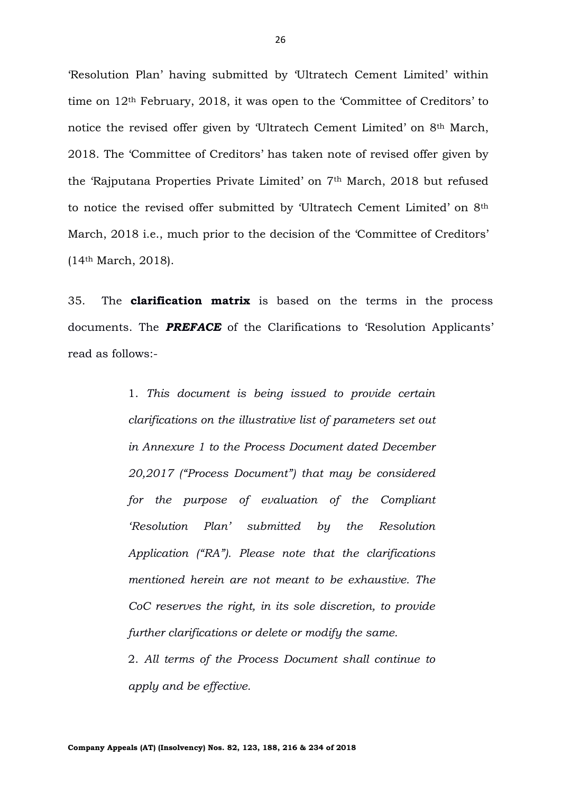'Resolution Plan' having submitted by 'Ultratech Cement Limited' within time on 12th February, 2018, it was open to the 'Committee of Creditors' to notice the revised offer given by 'Ultratech Cement Limited' on 8th March, 2018. The 'Committee of Creditors' has taken note of revised offer given by the 'Rajputana Properties Private Limited' on 7th March, 2018 but refused to notice the revised offer submitted by 'Ultratech Cement Limited' on 8th March, 2018 i.e., much prior to the decision of the 'Committee of Creditors' (14th March, 2018).

35. The **clarification matrix** is based on the terms in the process documents. The *PREFACE* of the Clarifications to 'Resolution Applicants' read as follows:-

> 1. *This document is being issued to provide certain clarifications on the illustrative list of parameters set out in Annexure 1 to the Process Document dated December 20,2017 ("Process Document") that may be considered for the purpose of evaluation of the Compliant 'Resolution Plan' submitted by the Resolution Application ("RA"). Please note that the clarifications mentioned herein are not meant to be exhaustive. The CoC reserves the right, in its sole discretion, to provide further clarifications or delete or modify the same.*

> 2. *All terms of the Process Document shall continue to apply and be effective.*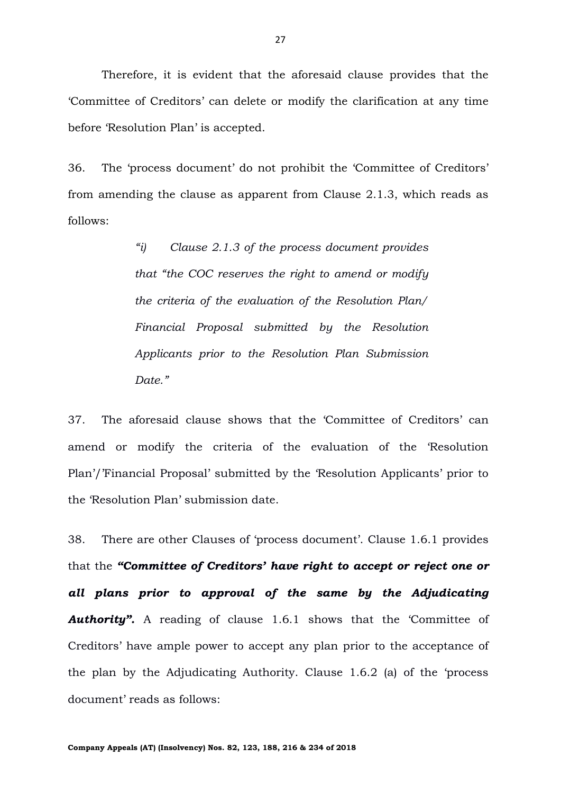Therefore, it is evident that the aforesaid clause provides that the 'Committee of Creditors' can delete or modify the clarification at any time before 'Resolution Plan' is accepted.

36. The 'process document' do not prohibit the 'Committee of Creditors' from amending the clause as apparent from Clause 2.1.3, which reads as follows:

> *"i) Clause 2.1.3 of the process document provides that "the COC reserves the right to amend or modify the criteria of the evaluation of the Resolution Plan/ Financial Proposal submitted by the Resolution Applicants prior to the Resolution Plan Submission Date."*

37. The aforesaid clause shows that the 'Committee of Creditors' can amend or modify the criteria of the evaluation of the 'Resolution Plan'/'Financial Proposal' submitted by the 'Resolution Applicants' prior to the 'Resolution Plan' submission date.

38. There are other Clauses of 'process document'. Clause 1.6.1 provides that the *"Committee of Creditors' have right to accept or reject one or all plans prior to approval of the same by the Adjudicating*  **Authority".** A reading of clause 1.6.1 shows that the 'Committee of Creditors' have ample power to accept any plan prior to the acceptance of the plan by the Adjudicating Authority. Clause 1.6.2 (a) of the 'process document' reads as follows: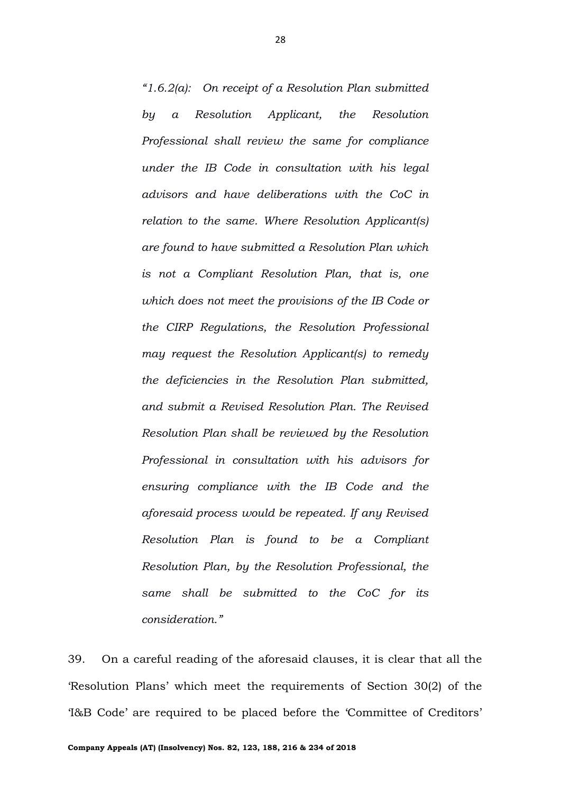*"1.6.2(a): On receipt of a Resolution Plan submitted by a Resolution Applicant, the Resolution Professional shall review the same for compliance under the IB Code in consultation with his legal advisors and have deliberations with the CoC in relation to the same. Where Resolution Applicant(s) are found to have submitted a Resolution Plan which is not a Compliant Resolution Plan, that is, one which does not meet the provisions of the IB Code or the CIRP Regulations, the Resolution Professional may request the Resolution Applicant(s) to remedy the deficiencies in the Resolution Plan submitted, and submit a Revised Resolution Plan. The Revised Resolution Plan shall be reviewed by the Resolution Professional in consultation with his advisors for ensuring compliance with the IB Code and the aforesaid process would be repeated. If any Revised Resolution Plan is found to be a Compliant Resolution Plan, by the Resolution Professional, the same shall be submitted to the CoC for its consideration."*

39. On a careful reading of the aforesaid clauses, it is clear that all the 'Resolution Plans' which meet the requirements of Section 30(2) of the 'I&B Code' are required to be placed before the 'Committee of Creditors'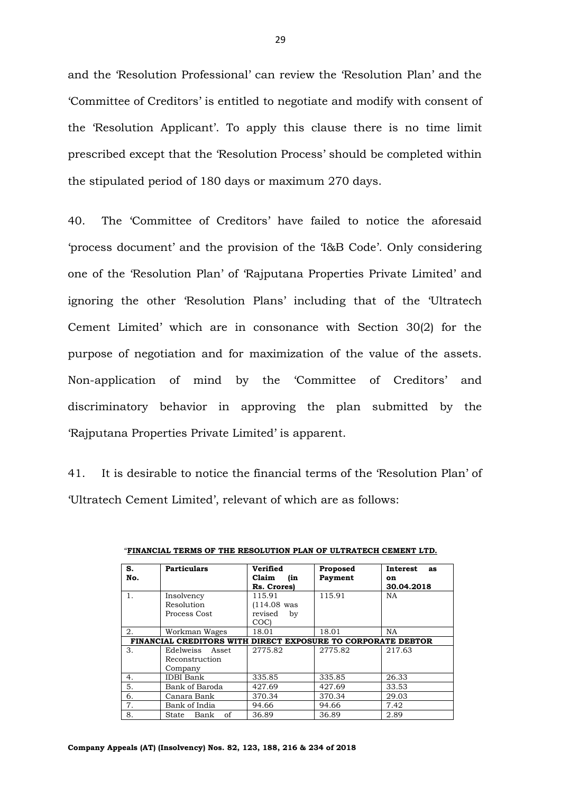and the 'Resolution Professional' can review the 'Resolution Plan' and the 'Committee of Creditors' is entitled to negotiate and modify with consent of the 'Resolution Applicant'. To apply this clause there is no time limit prescribed except that the 'Resolution Process' should be completed within the stipulated period of 180 days or maximum 270 days.

40. The 'Committee of Creditors' have failed to notice the aforesaid 'process document' and the provision of the 'I&B Code'. Only considering one of the 'Resolution Plan' of 'Rajputana Properties Private Limited' and ignoring the other 'Resolution Plans' including that of the 'Ultratech Cement Limited' which are in consonance with Section 30(2) for the purpose of negotiation and for maximization of the value of the assets. Non-application of mind by the 'Committee of Creditors' and discriminatory behavior in approving the plan submitted by the 'Rajputana Properties Private Limited' is apparent.

41. It is desirable to notice the financial terms of the 'Resolution Plan' of 'Ultratech Cement Limited', relevant of which are as follows:

| S.                                                           | <b>Particulars</b>  | Verified      | Proposed | <b>Interest</b><br>as |
|--------------------------------------------------------------|---------------------|---------------|----------|-----------------------|
| No.                                                          |                     | Claim<br>(in  | Payment  | on                    |
|                                                              |                     | Rs. Crores)   |          | 30.04.2018            |
| 1.                                                           | Insolvency          | 115.91        | 115.91   | <b>NA</b>             |
|                                                              | Resolution          | $(114.08$ was |          |                       |
|                                                              | Process Cost        | revised<br>by |          |                       |
|                                                              |                     | <b>COCI</b>   |          |                       |
| 2.                                                           | Workman Wages       | 18.01         | 18.01    | NA.                   |
| FINANCIAL CREDITORS WITH DIRECT EXPOSURE TO CORPORATE DEBTOR |                     |               |          |                       |
| З.                                                           | Edelweiss<br>Asset  | 2775.82       | 2775.82  | 217.63                |
|                                                              | Reconstruction      |               |          |                       |
|                                                              | Company             |               |          |                       |
| 4.                                                           | <b>IDBI</b> Bank    | 335.85        | 335.85   | 26.33                 |
| 5.                                                           | Bank of Baroda      | 427.69        | 427.69   | 33.53                 |
| 6.                                                           | Canara Bank         | 370.34        | 370.34   | 29.03                 |
| 7.                                                           | Bank of India       | 94.66         | 94.66    | 7.42                  |
| 8.                                                           | of<br>Bank<br>State | 36.89         | 36.89    | 2.89                  |

"**FINANCIAL TERMS OF THE RESOLUTION PLAN OF ULTRATECH CEMENT LTD.**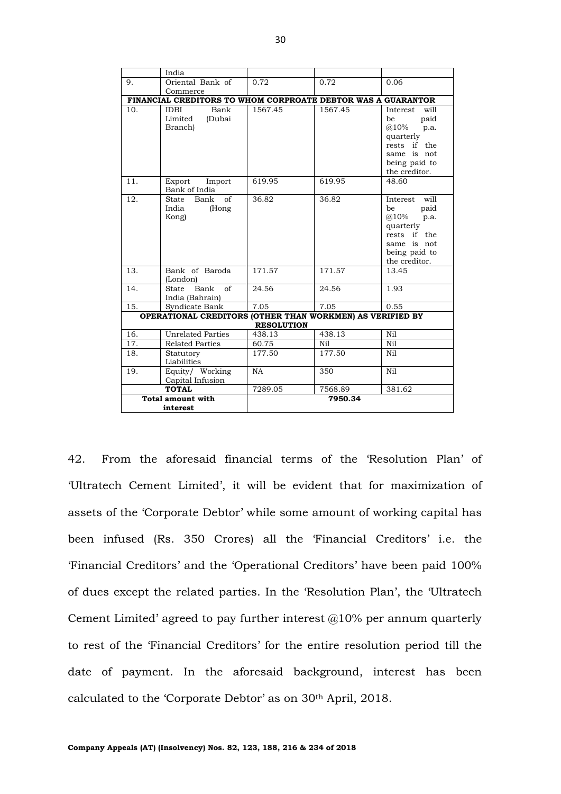|                          | India                                                        |                   |                  |                   |
|--------------------------|--------------------------------------------------------------|-------------------|------------------|-------------------|
| 9.                       | Oriental Bank of                                             | 0.72              | 0.72             | 0.06              |
|                          | Commerce                                                     |                   |                  |                   |
|                          | FINANCIAL CREDITORS TO WHOM CORPROATE DEBTOR WAS A GUARANTOR |                   |                  |                   |
| 10.                      | Bank<br>IDBI                                                 | 1567.45           | 1567.45          | will<br>Interest  |
|                          | Limited<br>(Dubai                                            |                   |                  | paid<br>be        |
|                          | Branch)                                                      |                   |                  | (a) 10%<br>p.a.   |
|                          |                                                              |                   |                  | quarterly         |
|                          |                                                              |                   |                  | rests if the      |
|                          |                                                              |                   |                  | same is not       |
|                          |                                                              |                   |                  | being paid to     |
|                          |                                                              |                   |                  | the creditor.     |
| 11.                      | Export<br>Import<br>Bank of India                            | 619.95            | 619.95           | 48.60             |
| 12.                      | $\sigma$ f<br>Bank<br>State                                  | 36.82             | 36.82            | will<br>Interest  |
|                          | India<br>(Hong                                               |                   |                  | paid<br>be        |
|                          | Kong)                                                        |                   |                  | $(a)$ 10%<br>p.a. |
|                          |                                                              |                   |                  | quarterly         |
|                          |                                                              |                   |                  | if the<br>rests   |
|                          |                                                              |                   |                  | same is not       |
|                          |                                                              |                   |                  | being paid to     |
|                          |                                                              |                   |                  | the creditor.     |
| 13.                      | Bank of Baroda                                               | 171.57            | 171.57           | 13.45             |
|                          | (London)                                                     |                   |                  |                   |
| 14.                      | Bank<br>$\sigma$ f<br>State                                  | 24.56             | 24.56            | 1.93              |
|                          | India (Bahrain)                                              |                   |                  |                   |
| 15.                      | Syndicate Bank                                               | 7.05              | 7.05             | 0.55              |
|                          | OPERATIONAL CREDITORS (OTHER THAN WORKMEN) AS VERIFIED BY    |                   |                  |                   |
|                          |                                                              | <b>RESOLUTION</b> |                  |                   |
| 16.                      | <b>Unrelated Parties</b>                                     | 438.13            | 438.13           | Ni1               |
| 17.                      | <b>Related Parties</b>                                       | 60.75             | N <sub>i</sub> 1 | Ni1               |
| 18.                      | Statutory                                                    | 177.50            | 177.50           | Nil               |
|                          | Liabilities                                                  |                   |                  |                   |
| 19.                      | Equity/ Working                                              | <b>NA</b>         | 350              | Ni1               |
|                          | Capital Infusion                                             |                   |                  |                   |
|                          | <b>TOTAL</b>                                                 | 7289.05           | 7568.89          | 381.62            |
| <b>Total amount with</b> |                                                              |                   | 7950.34          |                   |
|                          | interest                                                     |                   |                  |                   |

42. From the aforesaid financial terms of the 'Resolution Plan' of 'Ultratech Cement Limited', it will be evident that for maximization of assets of the 'Corporate Debtor' while some amount of working capital has been infused (Rs. 350 Crores) all the 'Financial Creditors' i.e. the 'Financial Creditors' and the 'Operational Creditors' have been paid 100% of dues except the related parties. In the 'Resolution Plan', the 'Ultratech Cement Limited' agreed to pay further interest  $@10\%$  per annum quarterly to rest of the 'Financial Creditors' for the entire resolution period till the date of payment. In the aforesaid background, interest has been calculated to the 'Corporate Debtor' as on 30th April, 2018.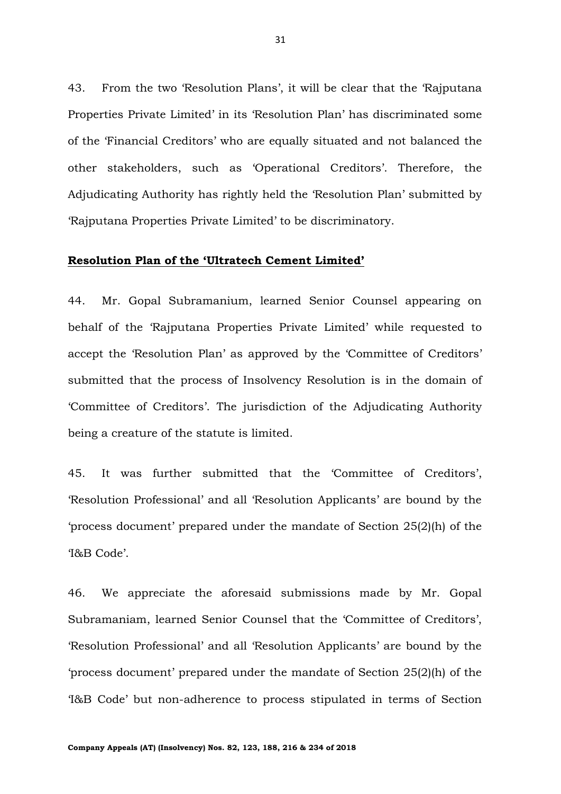43. From the two 'Resolution Plans', it will be clear that the 'Rajputana Properties Private Limited' in its 'Resolution Plan' has discriminated some of the 'Financial Creditors' who are equally situated and not balanced the other stakeholders, such as 'Operational Creditors'. Therefore, the Adjudicating Authority has rightly held the 'Resolution Plan' submitted by 'Rajputana Properties Private Limited' to be discriminatory.

# **Resolution Plan of the 'Ultratech Cement Limited'**

44. Mr. Gopal Subramanium, learned Senior Counsel appearing on behalf of the 'Rajputana Properties Private Limited' while requested to accept the 'Resolution Plan' as approved by the 'Committee of Creditors' submitted that the process of Insolvency Resolution is in the domain of 'Committee of Creditors'. The jurisdiction of the Adjudicating Authority being a creature of the statute is limited.

45. It was further submitted that the 'Committee of Creditors', 'Resolution Professional' and all 'Resolution Applicants' are bound by the 'process document' prepared under the mandate of Section 25(2)(h) of the 'I&B Code'.

46. We appreciate the aforesaid submissions made by Mr. Gopal Subramaniam, learned Senior Counsel that the 'Committee of Creditors', 'Resolution Professional' and all 'Resolution Applicants' are bound by the 'process document' prepared under the mandate of Section 25(2)(h) of the 'I&B Code' but non-adherence to process stipulated in terms of Section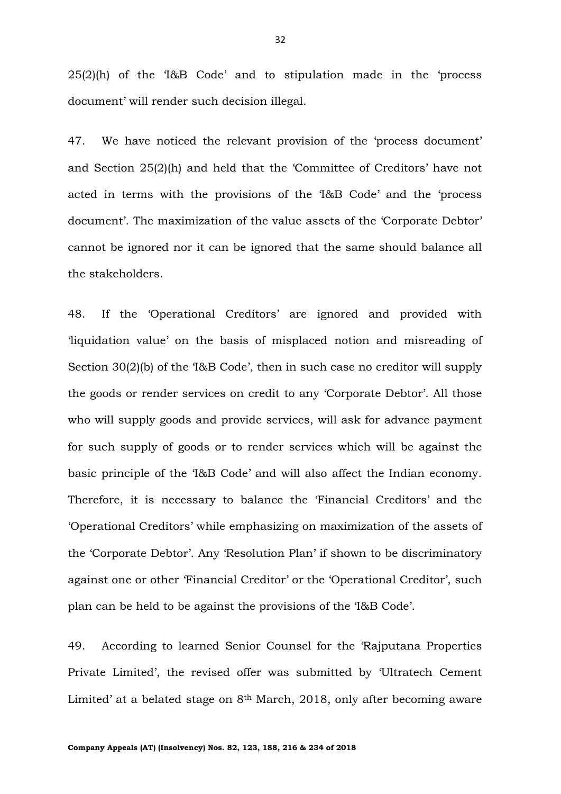25(2)(h) of the 'I&B Code' and to stipulation made in the 'process document' will render such decision illegal.

47. We have noticed the relevant provision of the 'process document' and Section 25(2)(h) and held that the 'Committee of Creditors' have not acted in terms with the provisions of the 'I&B Code' and the 'process document'. The maximization of the value assets of the 'Corporate Debtor' cannot be ignored nor it can be ignored that the same should balance all the stakeholders.

48. If the 'Operational Creditors' are ignored and provided with 'liquidation value' on the basis of misplaced notion and misreading of Section 30(2)(b) of the 'I&B Code', then in such case no creditor will supply the goods or render services on credit to any 'Corporate Debtor'. All those who will supply goods and provide services, will ask for advance payment for such supply of goods or to render services which will be against the basic principle of the 'I&B Code' and will also affect the Indian economy. Therefore, it is necessary to balance the 'Financial Creditors' and the 'Operational Creditors' while emphasizing on maximization of the assets of the 'Corporate Debtor'. Any 'Resolution Plan' if shown to be discriminatory against one or other 'Financial Creditor' or the 'Operational Creditor', such plan can be held to be against the provisions of the 'I&B Code'.

49. According to learned Senior Counsel for the 'Rajputana Properties Private Limited', the revised offer was submitted by 'Ultratech Cement Limited' at a belated stage on  $8<sup>th</sup>$  March, 2018, only after becoming aware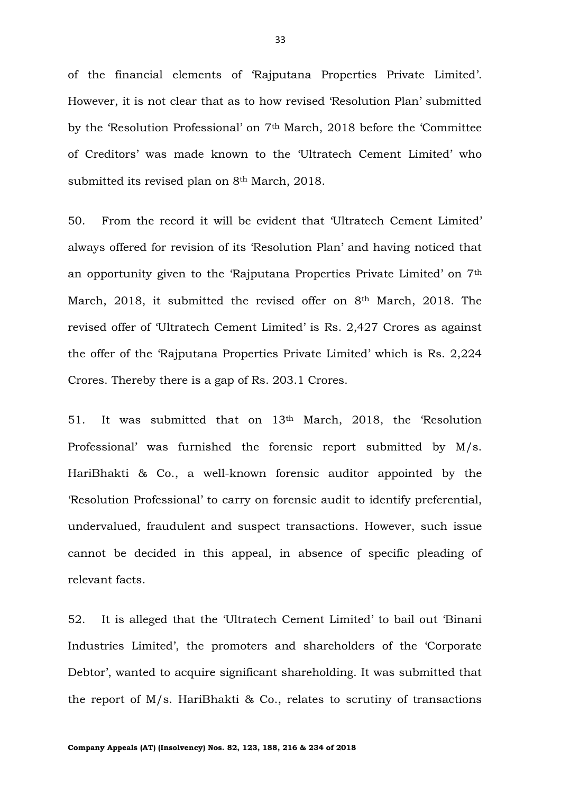of the financial elements of 'Rajputana Properties Private Limited'. However, it is not clear that as to how revised 'Resolution Plan' submitted by the 'Resolution Professional' on 7th March, 2018 before the 'Committee of Creditors' was made known to the 'Ultratech Cement Limited' who submitted its revised plan on 8th March, 2018.

50. From the record it will be evident that 'Ultratech Cement Limited' always offered for revision of its 'Resolution Plan' and having noticed that an opportunity given to the 'Rajputana Properties Private Limited' on 7th March, 2018, it submitted the revised offer on 8th March, 2018. The revised offer of 'Ultratech Cement Limited' is Rs. 2,427 Crores as against the offer of the 'Rajputana Properties Private Limited' which is Rs. 2,224 Crores. Thereby there is a gap of Rs. 203.1 Crores.

51. It was submitted that on 13th March, 2018, the 'Resolution Professional' was furnished the forensic report submitted by M/s. HariBhakti & Co., a well-known forensic auditor appointed by the 'Resolution Professional' to carry on forensic audit to identify preferential, undervalued, fraudulent and suspect transactions. However, such issue cannot be decided in this appeal, in absence of specific pleading of relevant facts.

52. It is alleged that the 'Ultratech Cement Limited' to bail out 'Binani Industries Limited', the promoters and shareholders of the 'Corporate Debtor', wanted to acquire significant shareholding. It was submitted that the report of M/s. HariBhakti & Co., relates to scrutiny of transactions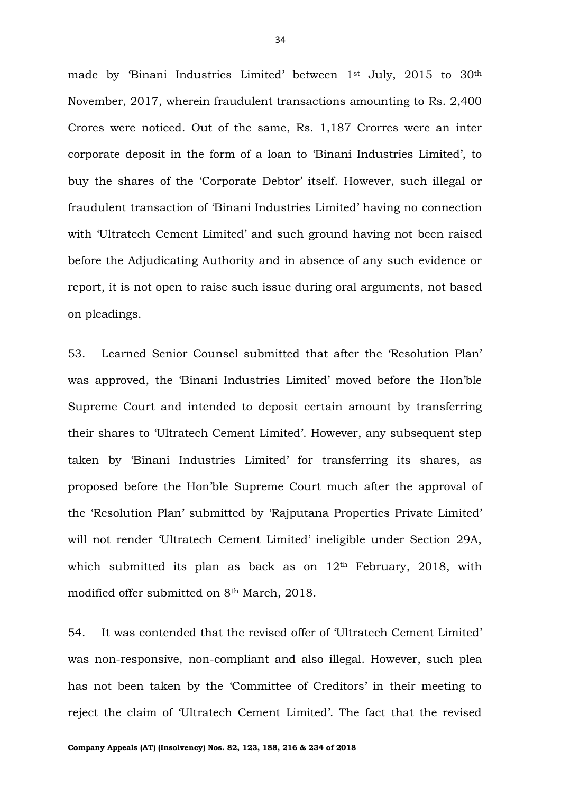made by 'Binani Industries Limited' between 1st July, 2015 to 30th November, 2017, wherein fraudulent transactions amounting to Rs. 2,400 Crores were noticed. Out of the same, Rs. 1,187 Crorres were an inter corporate deposit in the form of a loan to 'Binani Industries Limited', to buy the shares of the 'Corporate Debtor' itself. However, such illegal or fraudulent transaction of 'Binani Industries Limited' having no connection with 'Ultratech Cement Limited' and such ground having not been raised before the Adjudicating Authority and in absence of any such evidence or report, it is not open to raise such issue during oral arguments, not based on pleadings.

53. Learned Senior Counsel submitted that after the 'Resolution Plan' was approved, the 'Binani Industries Limited' moved before the Hon'ble Supreme Court and intended to deposit certain amount by transferring their shares to 'Ultratech Cement Limited'. However, any subsequent step taken by 'Binani Industries Limited' for transferring its shares, as proposed before the Hon'ble Supreme Court much after the approval of the 'Resolution Plan' submitted by 'Rajputana Properties Private Limited' will not render 'Ultratech Cement Limited' ineligible under Section 29A, which submitted its plan as back as on 12<sup>th</sup> February, 2018, with modified offer submitted on 8th March, 2018.

54. It was contended that the revised offer of 'Ultratech Cement Limited' was non-responsive, non-compliant and also illegal. However, such plea has not been taken by the 'Committee of Creditors' in their meeting to reject the claim of 'Ultratech Cement Limited'. The fact that the revised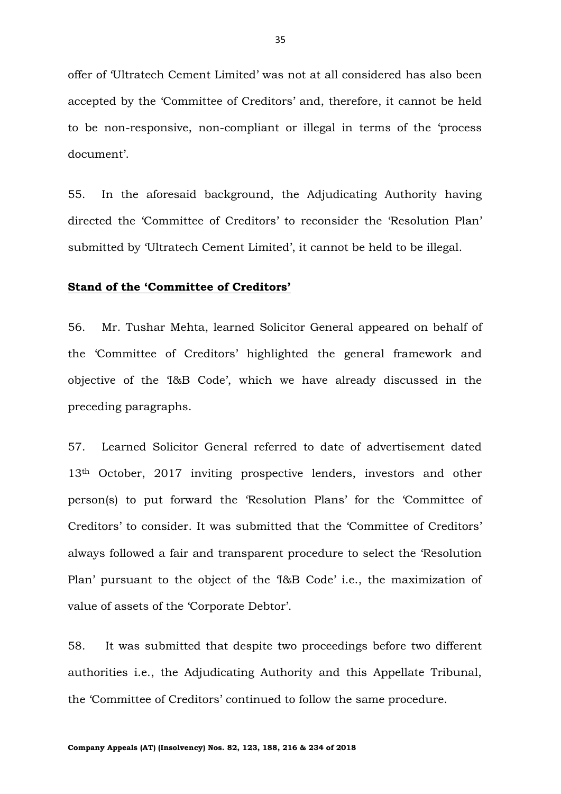offer of 'Ultratech Cement Limited' was not at all considered has also been accepted by the 'Committee of Creditors' and, therefore, it cannot be held to be non-responsive, non-compliant or illegal in terms of the 'process document'.

55. In the aforesaid background, the Adjudicating Authority having directed the 'Committee of Creditors' to reconsider the 'Resolution Plan' submitted by 'Ultratech Cement Limited', it cannot be held to be illegal.

# **Stand of the 'Committee of Creditors'**

56. Mr. Tushar Mehta, learned Solicitor General appeared on behalf of the 'Committee of Creditors' highlighted the general framework and objective of the 'I&B Code', which we have already discussed in the preceding paragraphs.

57. Learned Solicitor General referred to date of advertisement dated 13th October, 2017 inviting prospective lenders, investors and other person(s) to put forward the 'Resolution Plans' for the 'Committee of Creditors' to consider. It was submitted that the 'Committee of Creditors' always followed a fair and transparent procedure to select the 'Resolution Plan' pursuant to the object of the 'I&B Code' i.e., the maximization of value of assets of the 'Corporate Debtor'.

58. It was submitted that despite two proceedings before two different authorities i.e., the Adjudicating Authority and this Appellate Tribunal, the 'Committee of Creditors' continued to follow the same procedure.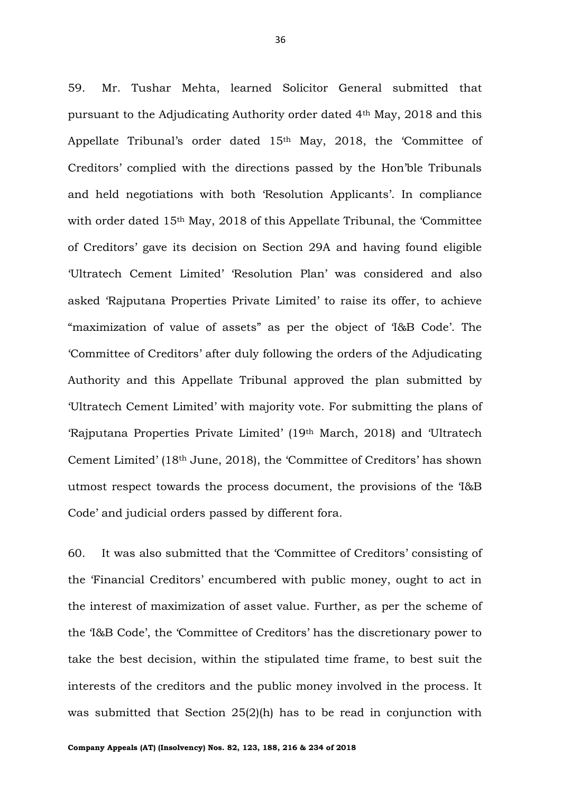59. Mr. Tushar Mehta, learned Solicitor General submitted that pursuant to the Adjudicating Authority order dated 4th May, 2018 and this Appellate Tribunal's order dated 15th May, 2018, the 'Committee of Creditors' complied with the directions passed by the Hon'ble Tribunals and held negotiations with both 'Resolution Applicants'. In compliance with order dated 15<sup>th</sup> May, 2018 of this Appellate Tribunal, the 'Committee' of Creditors' gave its decision on Section 29A and having found eligible 'Ultratech Cement Limited' 'Resolution Plan' was considered and also asked 'Rajputana Properties Private Limited' to raise its offer, to achieve "maximization of value of assets" as per the object of 'I&B Code'. The 'Committee of Creditors' after duly following the orders of the Adjudicating Authority and this Appellate Tribunal approved the plan submitted by 'Ultratech Cement Limited' with majority vote. For submitting the plans of 'Rajputana Properties Private Limited' (19th March, 2018) and 'Ultratech Cement Limited' (18th June, 2018), the 'Committee of Creditors' has shown utmost respect towards the process document, the provisions of the 'I&B Code' and judicial orders passed by different fora.

60. It was also submitted that the 'Committee of Creditors' consisting of the 'Financial Creditors' encumbered with public money, ought to act in the interest of maximization of asset value. Further, as per the scheme of the 'I&B Code', the 'Committee of Creditors' has the discretionary power to take the best decision, within the stipulated time frame, to best suit the interests of the creditors and the public money involved in the process. It was submitted that Section 25(2)(h) has to be read in conjunction with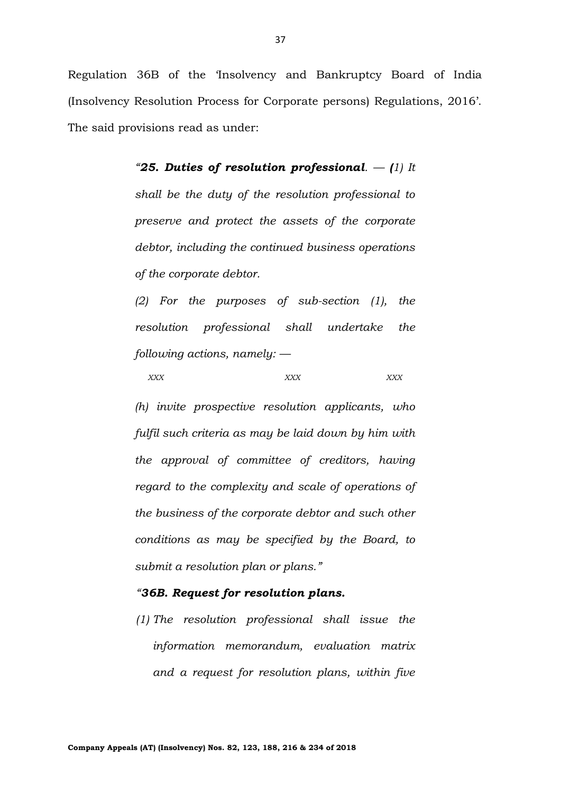Regulation 36B of the 'Insolvency and Bankruptcy Board of India (Insolvency Resolution Process for Corporate persons) Regulations, 2016'. The said provisions read as under:

> *"25. Duties of resolution professional. — (1) It shall be the duty of the resolution professional to preserve and protect the assets of the corporate debtor, including the continued business operations of the corporate debtor.*

> *(2) For the purposes of sub-section (1), the resolution professional shall undertake the following actions, namely: —*

*XXX XXX XXX*

*(h) invite prospective resolution applicants, who fulfil such criteria as may be laid down by him with the approval of committee of creditors, having regard to the complexity and scale of operations of the business of the corporate debtor and such other conditions as may be specified by the Board, to submit a resolution plan or plans."*

# *"36B. Request for resolution plans.*

*(1) The resolution professional shall issue the information memorandum, evaluation matrix and a request for resolution plans, within five*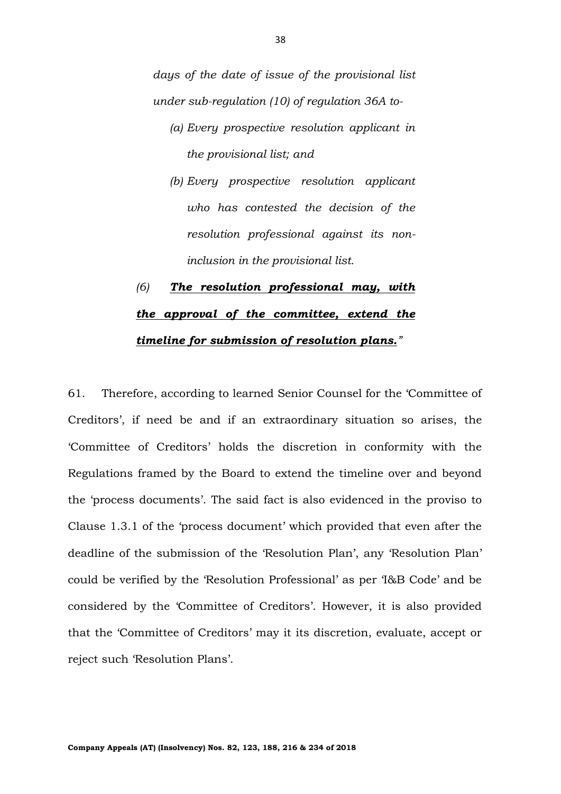*days of the date of issue of the provisional list under sub-regulation (10) of regulation 36A to-*

- *(a) Every prospective resolution applicant in the provisional list; and*
- *(b) Every prospective resolution applicant who has contested the decision of the resolution professional against its noninclusion in the provisional list.*

# *(6) The resolution professional may, with the approval of the committee, extend the timeline for submission of resolution plans."*

61. Therefore, according to learned Senior Counsel for the 'Committee of Creditors', if need be and if an extraordinary situation so arises, the 'Committee of Creditors' holds the discretion in conformity with the Regulations framed by the Board to extend the timeline over and beyond the 'process documents'. The said fact is also evidenced in the proviso to Clause 1.3.1 of the 'process document' which provided that even after the deadline of the submission of the 'Resolution Plan', any 'Resolution Plan' could be verified by the 'Resolution Professional' as per 'I&B Code' and be considered by the 'Committee of Creditors'. However, it is also provided that the 'Committee of Creditors' may it its discretion, evaluate, accept or reject such 'Resolution Plans'.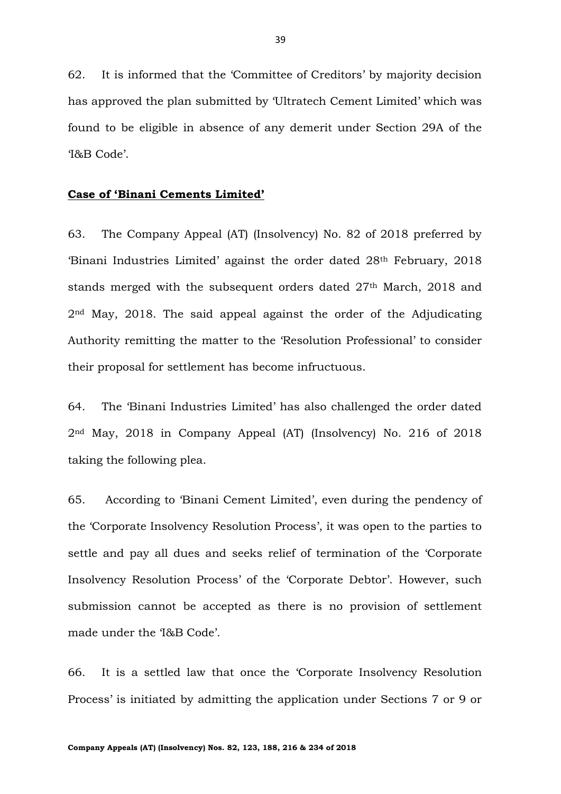62. It is informed that the 'Committee of Creditors' by majority decision has approved the plan submitted by 'Ultratech Cement Limited' which was found to be eligible in absence of any demerit under Section 29A of the 'I&B Code'.

### **Case of 'Binani Cements Limited'**

63. The Company Appeal (AT) (Insolvency) No. 82 of 2018 preferred by 'Binani Industries Limited' against the order dated 28th February, 2018 stands merged with the subsequent orders dated 27<sup>th</sup> March, 2018 and 2nd May, 2018. The said appeal against the order of the Adjudicating Authority remitting the matter to the 'Resolution Professional' to consider their proposal for settlement has become infructuous.

64. The 'Binani Industries Limited' has also challenged the order dated 2nd May, 2018 in Company Appeal (AT) (Insolvency) No. 216 of 2018 taking the following plea.

65. According to 'Binani Cement Limited', even during the pendency of the 'Corporate Insolvency Resolution Process', it was open to the parties to settle and pay all dues and seeks relief of termination of the 'Corporate Insolvency Resolution Process' of the 'Corporate Debtor'. However, such submission cannot be accepted as there is no provision of settlement made under the 'I&B Code'.

66. It is a settled law that once the 'Corporate Insolvency Resolution Process' is initiated by admitting the application under Sections 7 or 9 or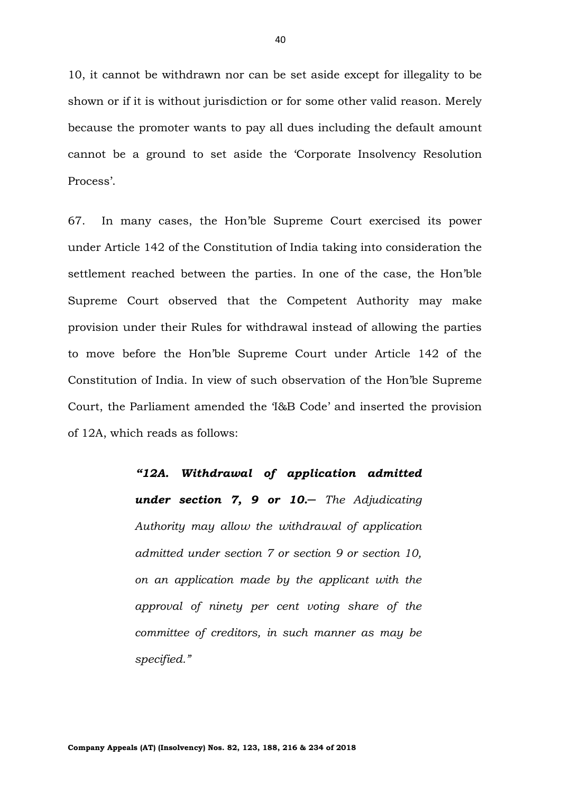10, it cannot be withdrawn nor can be set aside except for illegality to be shown or if it is without jurisdiction or for some other valid reason. Merely because the promoter wants to pay all dues including the default amount cannot be a ground to set aside the 'Corporate Insolvency Resolution Process'.

67. In many cases, the Hon'ble Supreme Court exercised its power under Article 142 of the Constitution of India taking into consideration the settlement reached between the parties. In one of the case, the Hon'ble Supreme Court observed that the Competent Authority may make provision under their Rules for withdrawal instead of allowing the parties to move before the Hon'ble Supreme Court under Article 142 of the Constitution of India. In view of such observation of the Hon'ble Supreme Court, the Parliament amended the 'I&B Code' and inserted the provision of 12A, which reads as follows:

> *"12A. Withdrawal of application admitted under section 7, 9 or 10.─ The Adjudicating Authority may allow the withdrawal of application admitted under section 7 or section 9 or section 10, on an application made by the applicant with the approval of ninety per cent voting share of the committee of creditors, in such manner as may be specified."*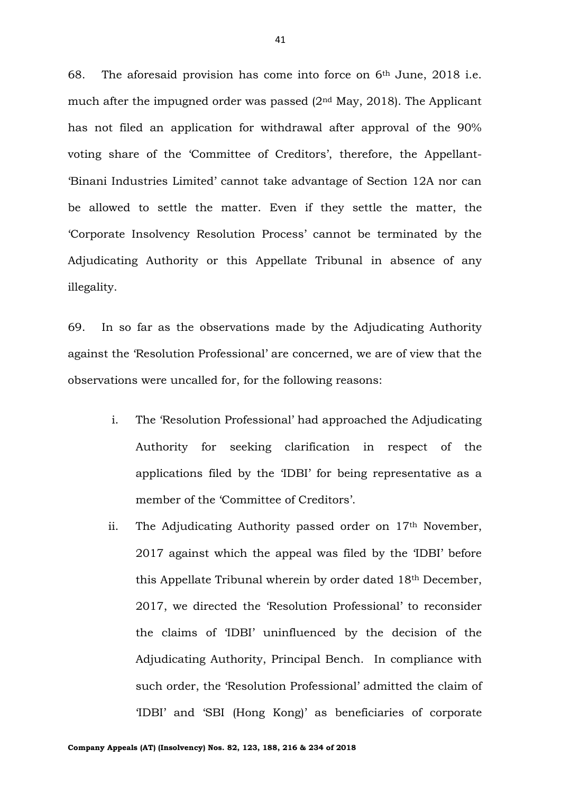68. The aforesaid provision has come into force on  $6<sup>th</sup>$  June, 2018 i.e. much after the impugned order was passed  $(2<sup>nd</sup>$  May, 2018). The Applicant has not filed an application for withdrawal after approval of the 90% voting share of the 'Committee of Creditors', therefore, the Appellant- 'Binani Industries Limited' cannot take advantage of Section 12A nor can be allowed to settle the matter. Even if they settle the matter, the 'Corporate Insolvency Resolution Process' cannot be terminated by the Adjudicating Authority or this Appellate Tribunal in absence of any illegality.

69. In so far as the observations made by the Adjudicating Authority against the 'Resolution Professional' are concerned, we are of view that the observations were uncalled for, for the following reasons:

- i. The 'Resolution Professional' had approached the Adjudicating Authority for seeking clarification in respect of the applications filed by the 'IDBI' for being representative as a member of the 'Committee of Creditors'.
- ii. The Adjudicating Authority passed order on  $17<sup>th</sup>$  November, 2017 against which the appeal was filed by the 'IDBI' before this Appellate Tribunal wherein by order dated 18th December, 2017, we directed the 'Resolution Professional' to reconsider the claims of 'IDBI' uninfluenced by the decision of the Adjudicating Authority, Principal Bench. In compliance with such order, the 'Resolution Professional' admitted the claim of 'IDBI' and 'SBI (Hong Kong)' as beneficiaries of corporate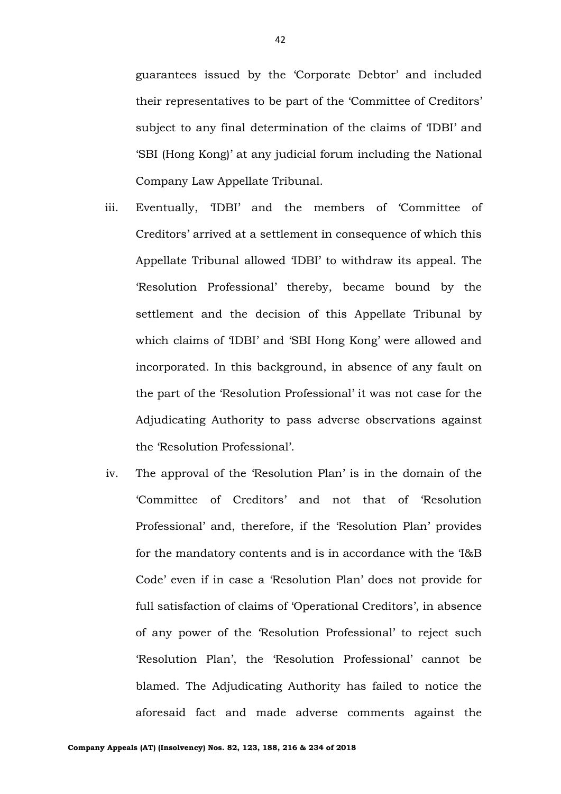guarantees issued by the 'Corporate Debtor' and included their representatives to be part of the 'Committee of Creditors' subject to any final determination of the claims of 'IDBI' and 'SBI (Hong Kong)' at any judicial forum including the National Company Law Appellate Tribunal.

- iii. Eventually, 'IDBI' and the members of 'Committee of Creditors' arrived at a settlement in consequence of which this Appellate Tribunal allowed 'IDBI' to withdraw its appeal. The 'Resolution Professional' thereby, became bound by the settlement and the decision of this Appellate Tribunal by which claims of 'IDBI' and 'SBI Hong Kong' were allowed and incorporated. In this background, in absence of any fault on the part of the 'Resolution Professional' it was not case for the Adjudicating Authority to pass adverse observations against the 'Resolution Professional'.
- iv. The approval of the 'Resolution Plan' is in the domain of the 'Committee of Creditors' and not that of 'Resolution Professional' and, therefore, if the 'Resolution Plan' provides for the mandatory contents and is in accordance with the 'I&B Code' even if in case a 'Resolution Plan' does not provide for full satisfaction of claims of 'Operational Creditors', in absence of any power of the 'Resolution Professional' to reject such 'Resolution Plan', the 'Resolution Professional' cannot be blamed. The Adjudicating Authority has failed to notice the aforesaid fact and made adverse comments against the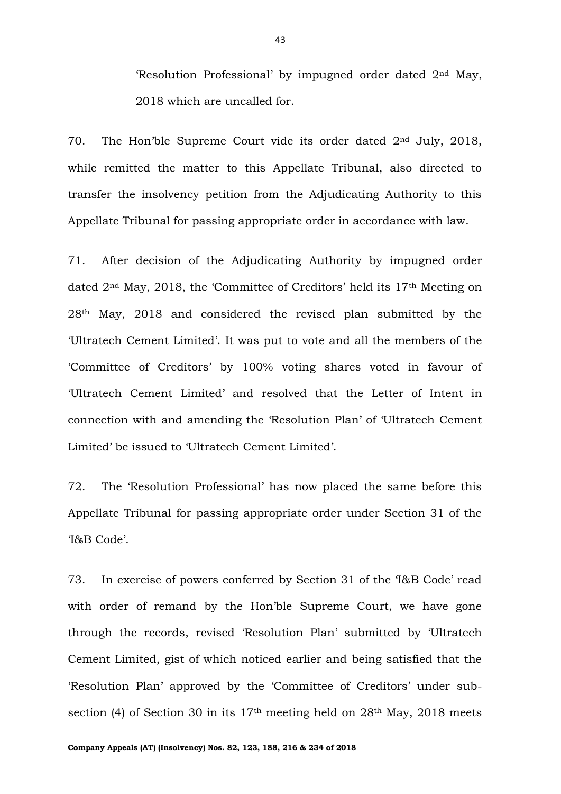'Resolution Professional' by impugned order dated 2nd May, 2018 which are uncalled for.

70. The Hon'ble Supreme Court vide its order dated 2nd July, 2018, while remitted the matter to this Appellate Tribunal, also directed to transfer the insolvency petition from the Adjudicating Authority to this Appellate Tribunal for passing appropriate order in accordance with law.

71. After decision of the Adjudicating Authority by impugned order dated 2nd May, 2018, the 'Committee of Creditors' held its 17th Meeting on 28th May, 2018 and considered the revised plan submitted by the 'Ultratech Cement Limited'. It was put to vote and all the members of the 'Committee of Creditors' by 100% voting shares voted in favour of 'Ultratech Cement Limited' and resolved that the Letter of Intent in connection with and amending the 'Resolution Plan' of 'Ultratech Cement Limited' be issued to 'Ultratech Cement Limited'.

72. The 'Resolution Professional' has now placed the same before this Appellate Tribunal for passing appropriate order under Section 31 of the 'I&B Code'.

73. In exercise of powers conferred by Section 31 of the 'I&B Code' read with order of remand by the Hon'ble Supreme Court, we have gone through the records, revised 'Resolution Plan' submitted by 'Ultratech Cement Limited, gist of which noticed earlier and being satisfied that the 'Resolution Plan' approved by the 'Committee of Creditors' under subsection (4) of Section 30 in its 17<sup>th</sup> meeting held on 28<sup>th</sup> May, 2018 meets